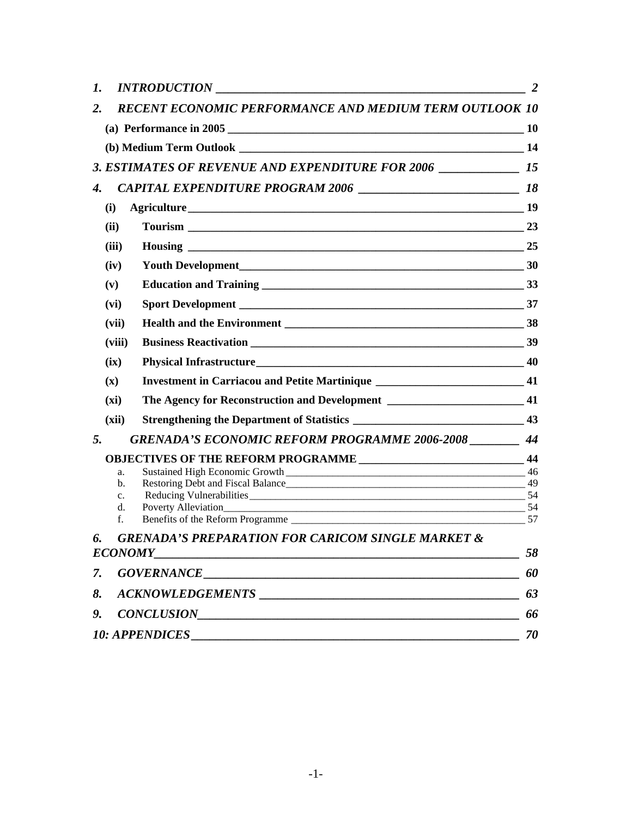| 1.                                                                 |                             | <i>INTRODUCTION</i>                                                                 | $\overline{2}$ |  |  |  |
|--------------------------------------------------------------------|-----------------------------|-------------------------------------------------------------------------------------|----------------|--|--|--|
| 2.                                                                 |                             | <b>RECENT ECONOMIC PERFORMANCE AND MEDIUM TERM OUTLOOK 10</b>                       |                |  |  |  |
|                                                                    |                             |                                                                                     |                |  |  |  |
|                                                                    |                             |                                                                                     |                |  |  |  |
| 3. ESTIMATES OF REVENUE AND EXPENDITURE FOR 2006 ______________ 15 |                             |                                                                                     |                |  |  |  |
| 4.                                                                 |                             |                                                                                     |                |  |  |  |
|                                                                    | (i)                         |                                                                                     |                |  |  |  |
|                                                                    | (ii)                        |                                                                                     |                |  |  |  |
|                                                                    | (iii)                       |                                                                                     |                |  |  |  |
|                                                                    | (iv)                        |                                                                                     |                |  |  |  |
|                                                                    | (v)                         |                                                                                     |                |  |  |  |
|                                                                    | (vi)                        |                                                                                     |                |  |  |  |
|                                                                    | (vii)                       |                                                                                     |                |  |  |  |
|                                                                    | (viii)                      |                                                                                     |                |  |  |  |
|                                                                    | (ix)                        |                                                                                     |                |  |  |  |
|                                                                    | $(\mathbf{x})$              | Investment in Carriacou and Petite Martinique __________________________________ 41 |                |  |  |  |
|                                                                    | (xi)                        | The Agency for Reconstruction and Development _______________________________41     |                |  |  |  |
|                                                                    | (xii)                       |                                                                                     |                |  |  |  |
| 5.                                                                 |                             | <b>GRENADA'S ECONOMIC REFORM PROGRAMME 2006-2008</b>                                | 44             |  |  |  |
|                                                                    |                             |                                                                                     | 44             |  |  |  |
|                                                                    | a.                          |                                                                                     |                |  |  |  |
|                                                                    | b.<br>$\mathbf{c}$ .        | Restoring Debt and Fiscal Balance                                                   |                |  |  |  |
|                                                                    | d.                          | Poverty Alleviation 54                                                              |                |  |  |  |
|                                                                    | f.                          |                                                                                     |                |  |  |  |
| 6.                                                                 |                             | <b>GRENADA'S PREPARATION FOR CARICOM SINGLE MARKET &amp;</b>                        |                |  |  |  |
|                                                                    |                             |                                                                                     | 58             |  |  |  |
|                                                                    |                             |                                                                                     | 60             |  |  |  |
|                                                                    | 8.<br>63                    |                                                                                     |                |  |  |  |
|                                                                    | 9. CONCLUSION<br>66         |                                                                                     |                |  |  |  |
|                                                                    | <b>10: APPENDICES</b><br>70 |                                                                                     |                |  |  |  |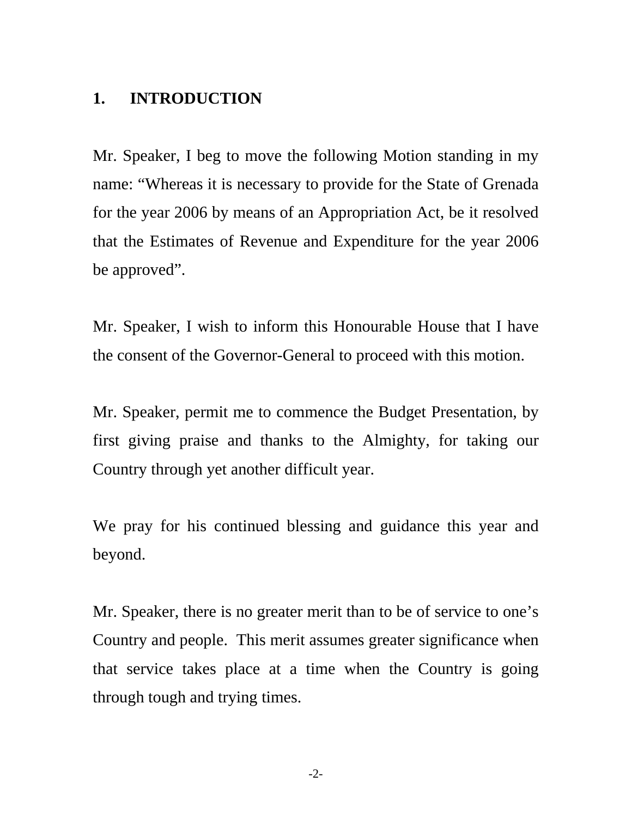## <span id="page-1-0"></span>**1. INTRODUCTION**

Mr. Speaker, I beg to move the following Motion standing in my name: "Whereas it is necessary to provide for the State of Grenada for the year 2006 by means of an Appropriation Act, be it resolved that the Estimates of Revenue and Expenditure for the year 2006 be approved".

Mr. Speaker, I wish to inform this Honourable House that I have the consent of the Governor-General to proceed with this motion.

Mr. Speaker, permit me to commence the Budget Presentation, by first giving praise and thanks to the Almighty, for taking our Country through yet another difficult year.

We pray for his continued blessing and guidance this year and beyond.

Mr. Speaker, there is no greater merit than to be of service to one's Country and people. This merit assumes greater significance when that service takes place at a time when the Country is going through tough and trying times.

-2-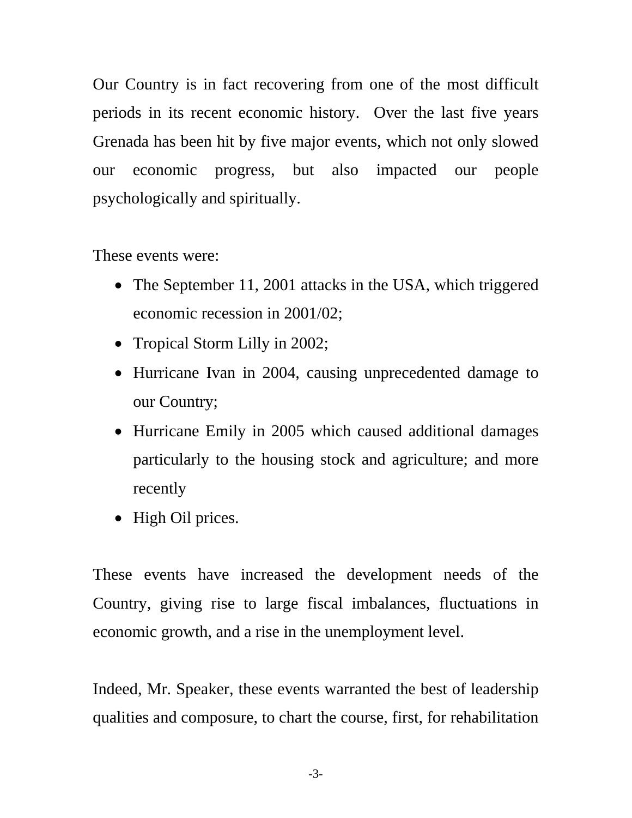Our Country is in fact recovering from one of the most difficult periods in its recent economic history. Over the last five years Grenada has been hit by five major events, which not only slowed our economic progress, but also impacted our people psychologically and spiritually.

These events were:

- The September 11, 2001 attacks in the USA, which triggered economic recession in 2001/02;
- Tropical Storm Lilly in 2002;
- Hurricane Ivan in 2004, causing unprecedented damage to our Country;
- Hurricane Emily in 2005 which caused additional damages particularly to the housing stock and agriculture; and more recently
- High Oil prices.

These events have increased the development needs of the Country, giving rise to large fiscal imbalances, fluctuations in economic growth, and a rise in the unemployment level.

Indeed, Mr. Speaker, these events warranted the best of leadership qualities and composure, to chart the course, first, for rehabilitation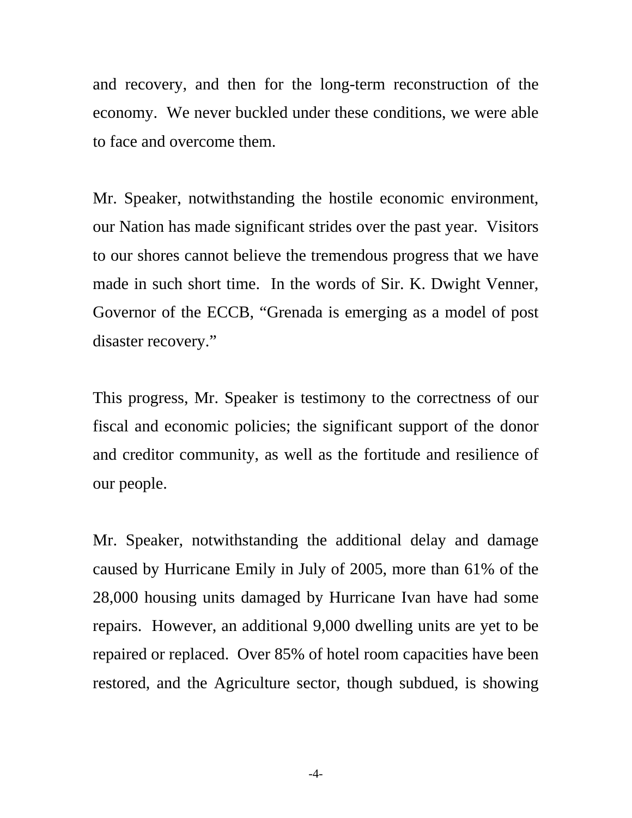and recovery, and then for the long-term reconstruction of the economy. We never buckled under these conditions, we were able to face and overcome them.

Mr. Speaker, notwithstanding the hostile economic environment, our Nation has made significant strides over the past year. Visitors to our shores cannot believe the tremendous progress that we have made in such short time. In the words of Sir. K. Dwight Venner, Governor of the ECCB, "Grenada is emerging as a model of post disaster recovery."

This progress, Mr. Speaker is testimony to the correctness of our fiscal and economic policies; the significant support of the donor and creditor community, as well as the fortitude and resilience of our people.

Mr. Speaker, notwithstanding the additional delay and damage caused by Hurricane Emily in July of 2005, more than 61% of the 28,000 housing units damaged by Hurricane Ivan have had some repairs. However, an additional 9,000 dwelling units are yet to be repaired or replaced. Over 85% of hotel room capacities have been restored, and the Agriculture sector, though subdued, is showing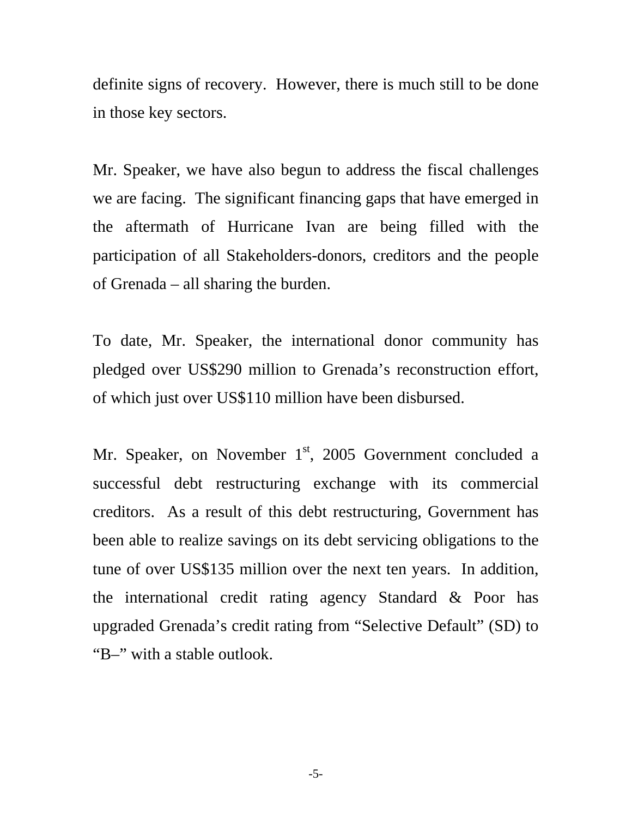definite signs of recovery. However, there is much still to be done in those key sectors.

Mr. Speaker, we have also begun to address the fiscal challenges we are facing. The significant financing gaps that have emerged in the aftermath of Hurricane Ivan are being filled with the participation of all Stakeholders-donors, creditors and the people of Grenada – all sharing the burden.

To date, Mr. Speaker, the international donor community has pledged over US\$290 million to Grenada's reconstruction effort, of which just over US\$110 million have been disbursed.

Mr. Speaker, on November  $1<sup>st</sup>$ , 2005 Government concluded a successful debt restructuring exchange with its commercial creditors. As a result of this debt restructuring, Government has been able to realize savings on its debt servicing obligations to the tune of over US\$135 million over the next ten years. In addition, the international credit rating agency Standard & Poor has upgraded Grenada's credit rating from "Selective Default" (SD) to "B–" with a stable outlook.

-5-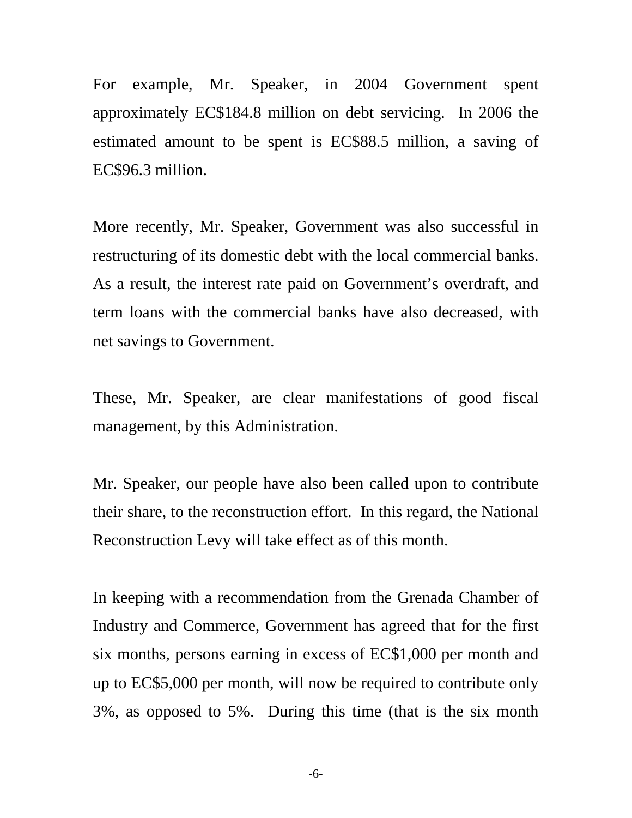For example, Mr. Speaker, in 2004 Government spent approximately EC\$184.8 million on debt servicing. In 2006 the estimated amount to be spent is EC\$88.5 million, a saving of EC\$96.3 million.

More recently, Mr. Speaker, Government was also successful in restructuring of its domestic debt with the local commercial banks. As a result, the interest rate paid on Government's overdraft, and term loans with the commercial banks have also decreased, with net savings to Government.

These, Mr. Speaker, are clear manifestations of good fiscal management, by this Administration.

Mr. Speaker, our people have also been called upon to contribute their share, to the reconstruction effort. In this regard, the National Reconstruction Levy will take effect as of this month.

In keeping with a recommendation from the Grenada Chamber of Industry and Commerce, Government has agreed that for the first six months, persons earning in excess of EC\$1,000 per month and up to EC\$5,000 per month, will now be required to contribute only 3%, as opposed to 5%. During this time (that is the six month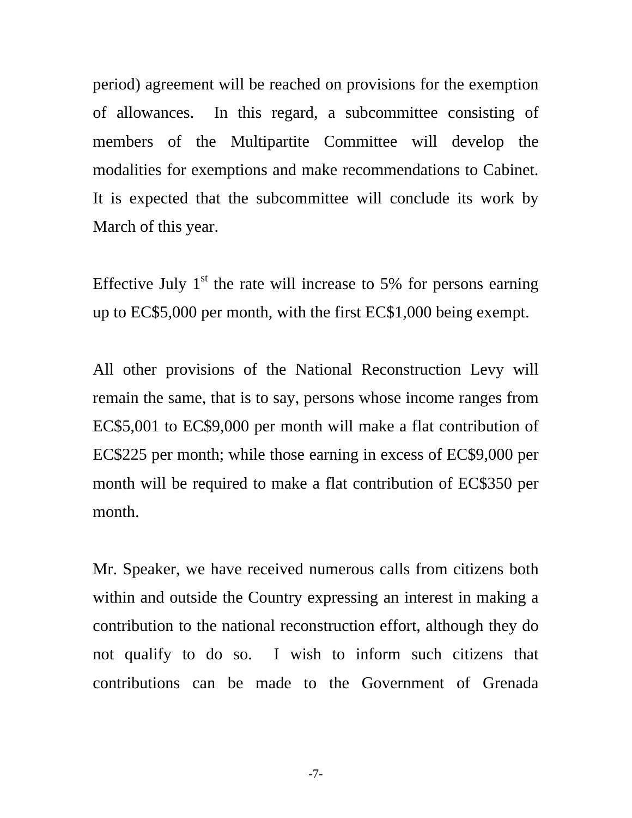period) agreement will be reached on provisions for the exemption of allowances. In this regard, a subcommittee consisting of members of the Multipartite Committee will develop the modalities for exemptions and make recommendations to Cabinet. It is expected that the subcommittee will conclude its work by March of this year.

Effective July  $1<sup>st</sup>$  the rate will increase to 5% for persons earning up to EC\$5,000 per month, with the first EC\$1,000 being exempt.

All other provisions of the National Reconstruction Levy will remain the same, that is to say, persons whose income ranges from EC\$5,001 to EC\$9,000 per month will make a flat contribution of EC\$225 per month; while those earning in excess of EC\$9,000 per month will be required to make a flat contribution of EC\$350 per month.

Mr. Speaker, we have received numerous calls from citizens both within and outside the Country expressing an interest in making a contribution to the national reconstruction effort, although they do not qualify to do so. I wish to inform such citizens that contributions can be made to the Government of Grenada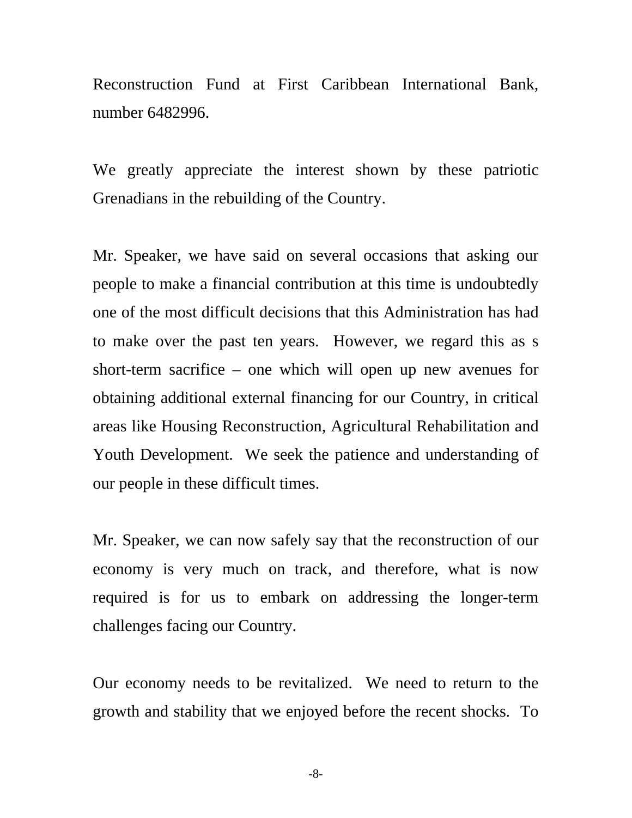Reconstruction Fund at First Caribbean International Bank, number 6482996.

We greatly appreciate the interest shown by these patriotic Grenadians in the rebuilding of the Country.

Mr. Speaker, we have said on several occasions that asking our people to make a financial contribution at this time is undoubtedly one of the most difficult decisions that this Administration has had to make over the past ten years. However, we regard this as s short-term sacrifice – one which will open up new avenues for obtaining additional external financing for our Country, in critical areas like Housing Reconstruction, Agricultural Rehabilitation and Youth Development. We seek the patience and understanding of our people in these difficult times.

Mr. Speaker, we can now safely say that the reconstruction of our economy is very much on track, and therefore, what is now required is for us to embark on addressing the longer-term challenges facing our Country.

Our economy needs to be revitalized. We need to return to the growth and stability that we enjoyed before the recent shocks. To

-8-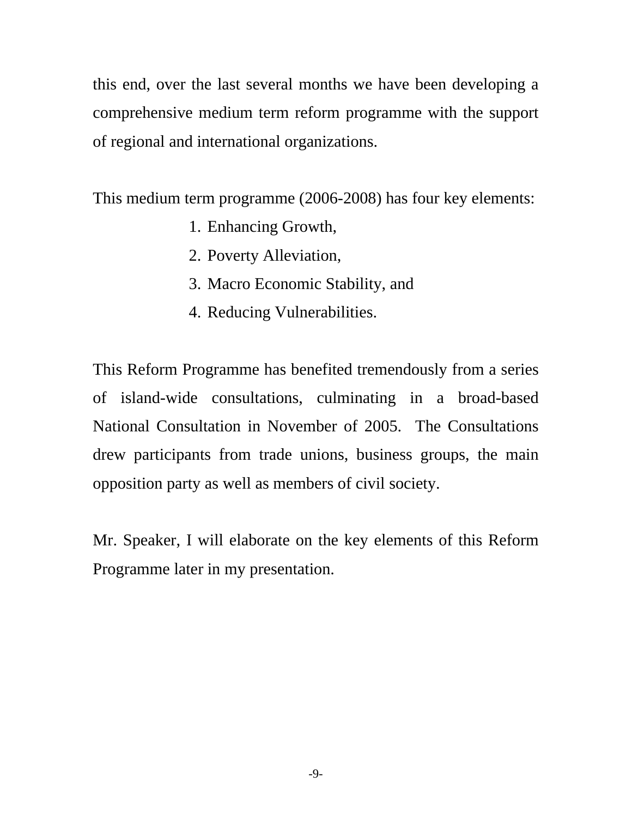this end, over the last several months we have been developing a comprehensive medium term reform programme with the support of regional and international organizations.

This medium term programme (2006-2008) has four key elements:

- 1. Enhancing Growth,
- 2. Poverty Alleviation,
- 3. Macro Economic Stability, and
- 4. Reducing Vulnerabilities.

This Reform Programme has benefited tremendously from a series of island-wide consultations, culminating in a broad-based National Consultation in November of 2005. The Consultations drew participants from trade unions, business groups, the main opposition party as well as members of civil society.

Mr. Speaker, I will elaborate on the key elements of this Reform Programme later in my presentation.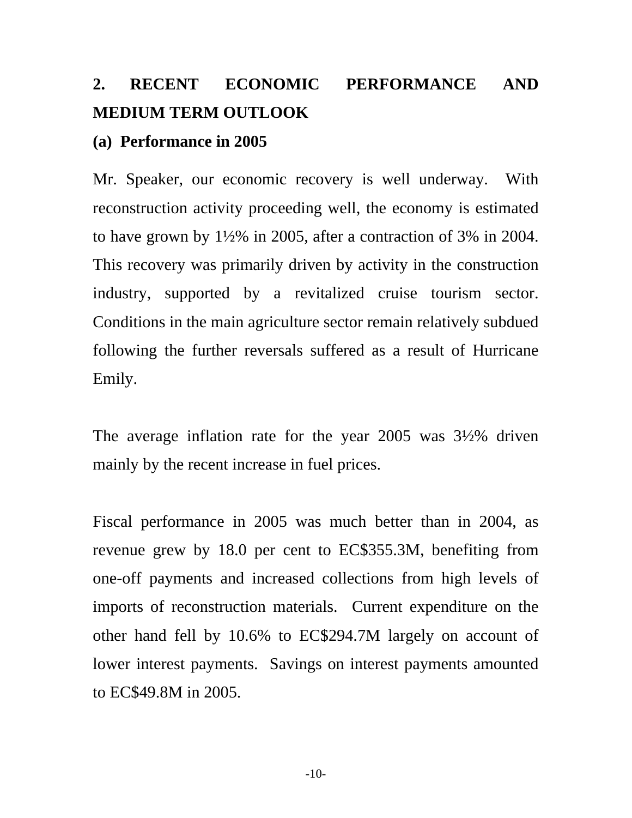# <span id="page-9-0"></span>**2. RECENT ECONOMIC PERFORMANCE AND MEDIUM TERM OUTLOOK**

#### **(a) Performance in 2005**

Mr. Speaker, our economic recovery is well underway. With reconstruction activity proceeding well, the economy is estimated to have grown by 1½% in 2005, after a contraction of 3% in 2004. This recovery was primarily driven by activity in the construction industry, supported by a revitalized cruise tourism sector. Conditions in the main agriculture sector remain relatively subdued following the further reversals suffered as a result of Hurricane Emily.

The average inflation rate for the year 2005 was 3½% driven mainly by the recent increase in fuel prices.

Fiscal performance in 2005 was much better than in 2004, as revenue grew by 18.0 per cent to EC\$355.3M, benefiting from one-off payments and increased collections from high levels of imports of reconstruction materials. Current expenditure on the other hand fell by 10.6% to EC\$294.7M largely on account of lower interest payments. Savings on interest payments amounted to EC\$49.8M in 2005.

-10-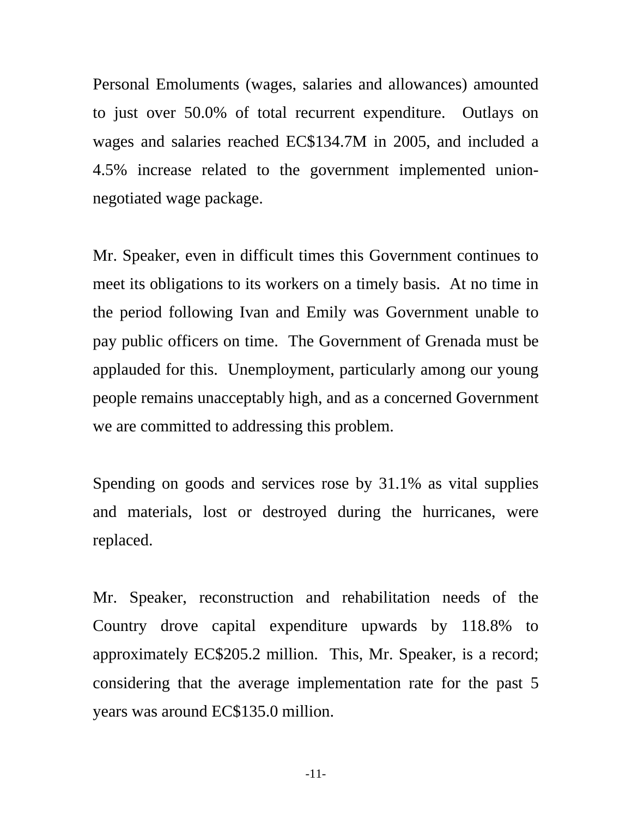Personal Emoluments (wages, salaries and allowances) amounted to just over 50.0% of total recurrent expenditure. Outlays on wages and salaries reached EC\$134.7M in 2005, and included a 4.5% increase related to the government implemented unionnegotiated wage package.

Mr. Speaker, even in difficult times this Government continues to meet its obligations to its workers on a timely basis. At no time in the period following Ivan and Emily was Government unable to pay public officers on time. The Government of Grenada must be applauded for this. Unemployment, particularly among our young people remains unacceptably high, and as a concerned Government we are committed to addressing this problem.

Spending on goods and services rose by 31.1% as vital supplies and materials, lost or destroyed during the hurricanes, were replaced.

Mr. Speaker, reconstruction and rehabilitation needs of the Country drove capital expenditure upwards by 118.8% to approximately EC\$205.2 million. This, Mr. Speaker, is a record; considering that the average implementation rate for the past 5 years was around EC\$135.0 million.

-11-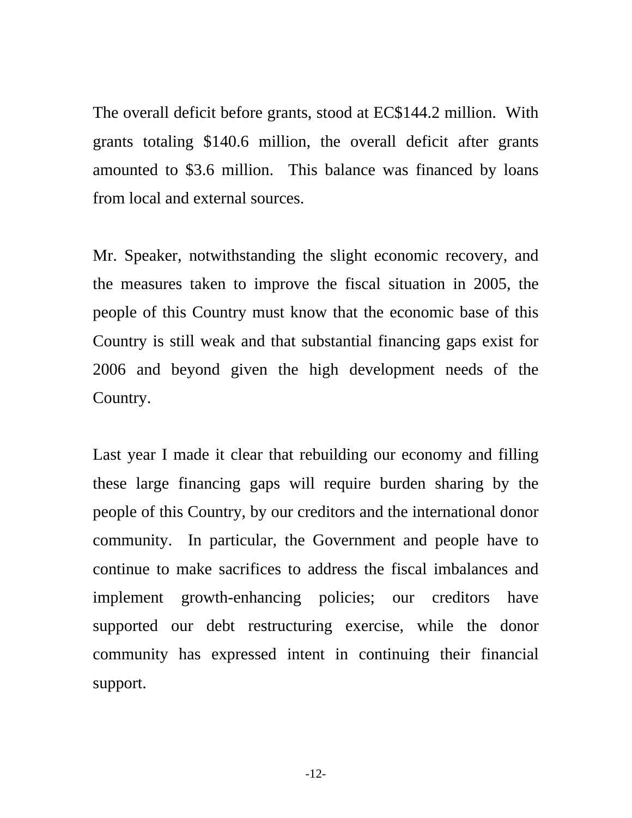The overall deficit before grants, stood at EC\$144.2 million. With grants totaling \$140.6 million, the overall deficit after grants amounted to \$3.6 million. This balance was financed by loans from local and external sources.

Mr. Speaker, notwithstanding the slight economic recovery, and the measures taken to improve the fiscal situation in 2005, the people of this Country must know that the economic base of this Country is still weak and that substantial financing gaps exist for 2006 and beyond given the high development needs of the Country.

Last year I made it clear that rebuilding our economy and filling these large financing gaps will require burden sharing by the people of this Country, by our creditors and the international donor community. In particular, the Government and people have to continue to make sacrifices to address the fiscal imbalances and implement growth-enhancing policies; our creditors have supported our debt restructuring exercise, while the donor community has expressed intent in continuing their financial support.

-12-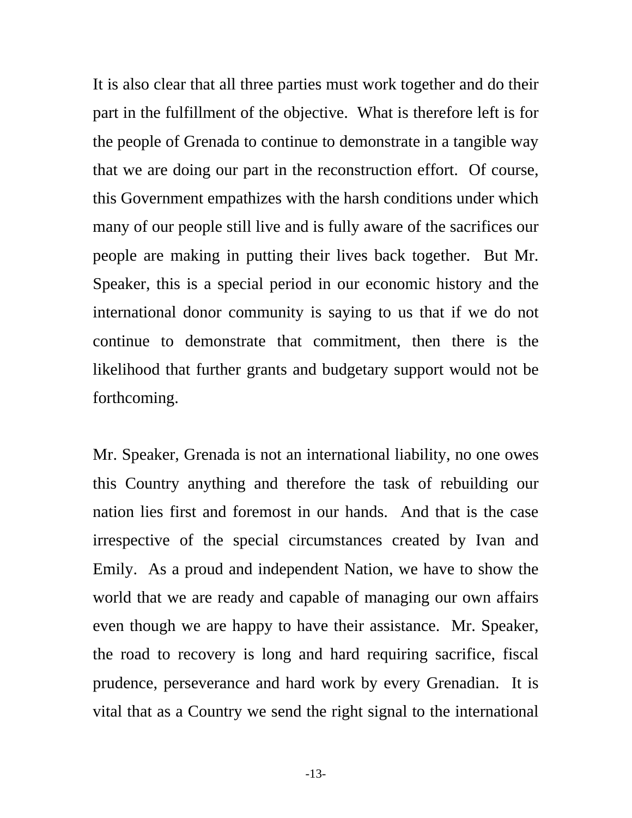It is also clear that all three parties must work together and do their part in the fulfillment of the objective. What is therefore left is for the people of Grenada to continue to demonstrate in a tangible way that we are doing our part in the reconstruction effort. Of course, this Government empathizes with the harsh conditions under which many of our people still live and is fully aware of the sacrifices our people are making in putting their lives back together. But Mr. Speaker, this is a special period in our economic history and the international donor community is saying to us that if we do not continue to demonstrate that commitment, then there is the likelihood that further grants and budgetary support would not be forthcoming.

Mr. Speaker, Grenada is not an international liability, no one owes this Country anything and therefore the task of rebuilding our nation lies first and foremost in our hands. And that is the case irrespective of the special circumstances created by Ivan and Emily. As a proud and independent Nation, we have to show the world that we are ready and capable of managing our own affairs even though we are happy to have their assistance. Mr. Speaker, the road to recovery is long and hard requiring sacrifice, fiscal prudence, perseverance and hard work by every Grenadian. It is vital that as a Country we send the right signal to the international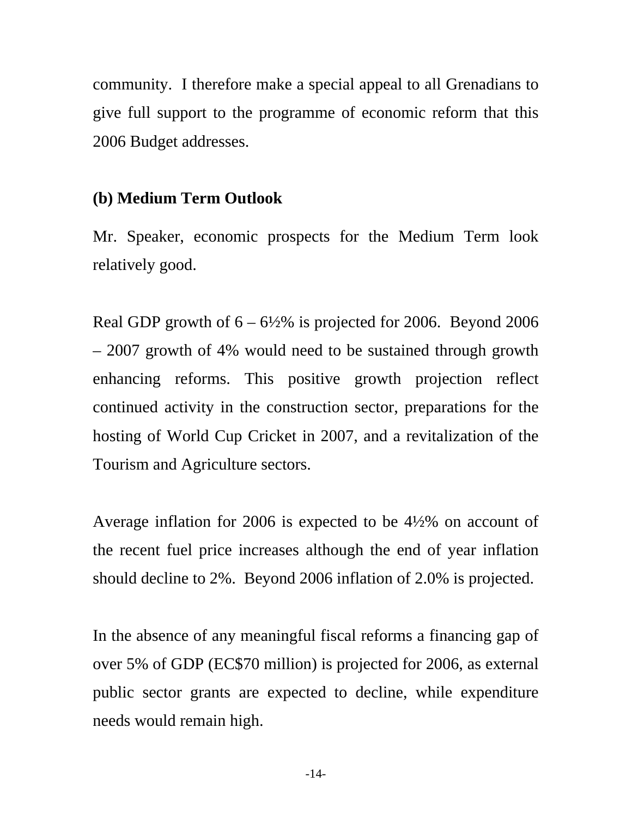<span id="page-13-0"></span>community. I therefore make a special appeal to all Grenadians to give full support to the programme of economic reform that this 2006 Budget addresses.

## **(b) Medium Term Outlook**

Mr. Speaker, economic prospects for the Medium Term look relatively good.

Real GDP growth of  $6 - 6\frac{1}{2}\%$  is projected for 2006. Beyond 2006 – 2007 growth of 4% would need to be sustained through growth enhancing reforms. This positive growth projection reflect continued activity in the construction sector, preparations for the hosting of World Cup Cricket in 2007, and a revitalization of the Tourism and Agriculture sectors.

Average inflation for 2006 is expected to be 4½% on account of the recent fuel price increases although the end of year inflation should decline to 2%. Beyond 2006 inflation of 2.0% is projected.

In the absence of any meaningful fiscal reforms a financing gap of over 5% of GDP (EC\$70 million) is projected for 2006, as external public sector grants are expected to decline, while expenditure needs would remain high.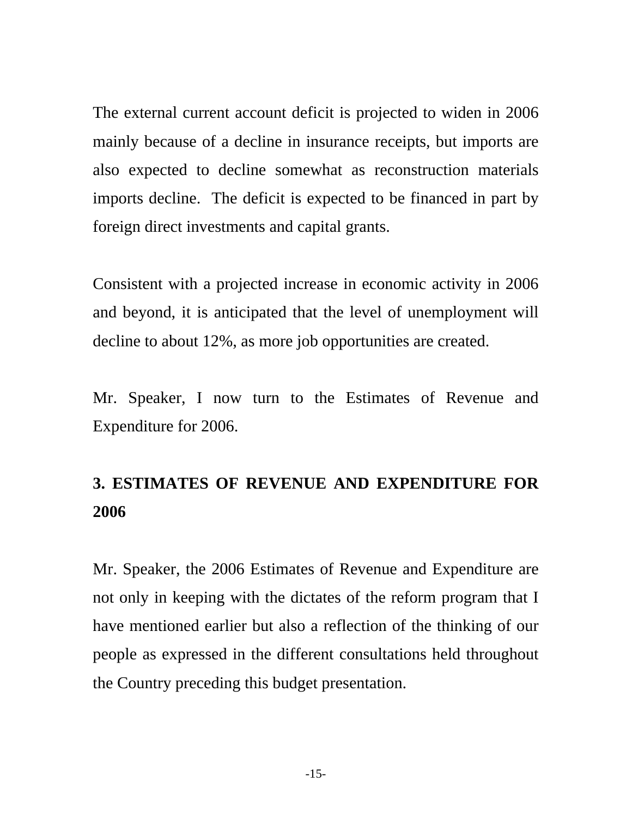<span id="page-14-0"></span>The external current account deficit is projected to widen in 2006 mainly because of a decline in insurance receipts, but imports are also expected to decline somewhat as reconstruction materials imports decline. The deficit is expected to be financed in part by foreign direct investments and capital grants.

Consistent with a projected increase in economic activity in 2006 and beyond, it is anticipated that the level of unemployment will decline to about 12%, as more job opportunities are created.

Mr. Speaker, I now turn to the Estimates of Revenue and Expenditure for 2006.

# **3. ESTIMATES OF REVENUE AND EXPENDITURE FOR 2006**

Mr. Speaker, the 2006 Estimates of Revenue and Expenditure are not only in keeping with the dictates of the reform program that I have mentioned earlier but also a reflection of the thinking of our people as expressed in the different consultations held throughout the Country preceding this budget presentation.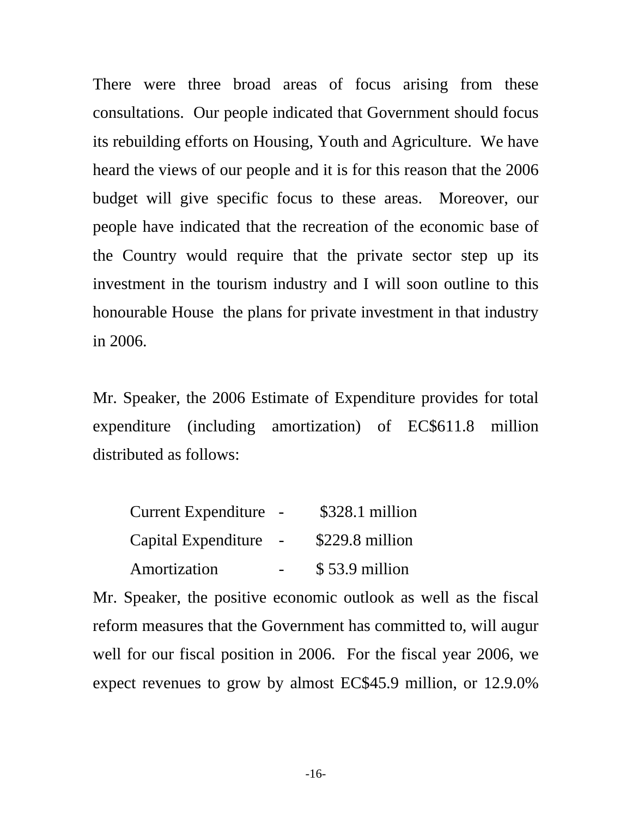There were three broad areas of focus arising from these consultations. Our people indicated that Government should focus its rebuilding efforts on Housing, Youth and Agriculture. We have heard the views of our people and it is for this reason that the 2006 budget will give specific focus to these areas. Moreover, our people have indicated that the recreation of the economic base of the Country would require that the private sector step up its investment in the tourism industry and I will soon outline to this honourable House the plans for private investment in that industry in 2006.

Mr. Speaker, the 2006 Estimate of Expenditure provides for total expenditure (including amortization) of EC\$611.8 million distributed as follows:

| <b>Current Expenditure</b> | \$328.1 million |
|----------------------------|-----------------|
| Capital Expenditure        | \$229.8 million |
| Amortization               | \$53.9 million  |

Mr. Speaker, the positive economic outlook as well as the fiscal reform measures that the Government has committed to, will augur well for our fiscal position in 2006. For the fiscal year 2006, we expect revenues to grow by almost EC\$45.9 million, or 12.9.0%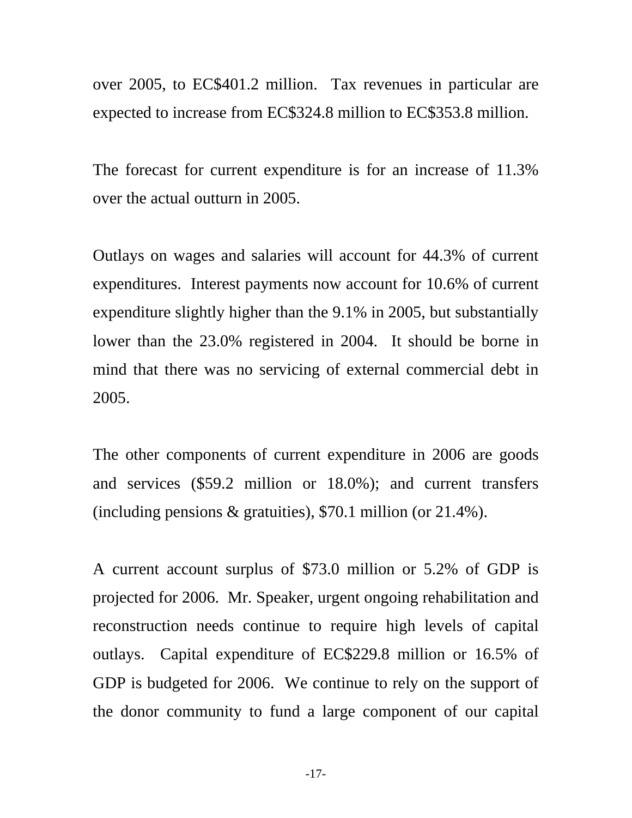over 2005, to EC\$401.2 million. Tax revenues in particular are expected to increase from EC\$324.8 million to EC\$353.8 million.

The forecast for current expenditure is for an increase of 11.3% over the actual outturn in 2005.

Outlays on wages and salaries will account for 44.3% of current expenditures. Interest payments now account for 10.6% of current expenditure slightly higher than the 9.1% in 2005, but substantially lower than the 23.0% registered in 2004. It should be borne in mind that there was no servicing of external commercial debt in 2005.

The other components of current expenditure in 2006 are goods and services (\$59.2 million or 18.0%); and current transfers (including pensions & gratuities), \$70.1 million (or 21.4%).

A current account surplus of \$73.0 million or 5.2% of GDP is projected for 2006. Mr. Speaker, urgent ongoing rehabilitation and reconstruction needs continue to require high levels of capital outlays. Capital expenditure of EC\$229.8 million or 16.5% of GDP is budgeted for 2006. We continue to rely on the support of the donor community to fund a large component of our capital

-17-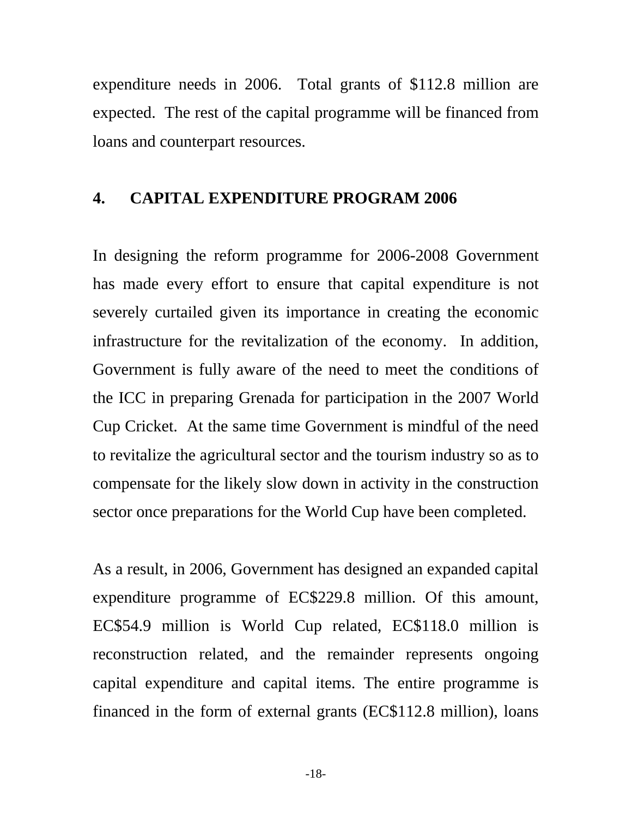<span id="page-17-0"></span>expenditure needs in 2006. Total grants of \$112.8 million are expected. The rest of the capital programme will be financed from loans and counterpart resources.

#### **4. CAPITAL EXPENDITURE PROGRAM 2006**

In designing the reform programme for 2006-2008 Government has made every effort to ensure that capital expenditure is not severely curtailed given its importance in creating the economic infrastructure for the revitalization of the economy. In addition, Government is fully aware of the need to meet the conditions of the ICC in preparing Grenada for participation in the 2007 World Cup Cricket. At the same time Government is mindful of the need to revitalize the agricultural sector and the tourism industry so as to compensate for the likely slow down in activity in the construction sector once preparations for the World Cup have been completed.

As a result, in 2006, Government has designed an expanded capital expenditure programme of EC\$229.8 million. Of this amount, EC\$54.9 million is World Cup related, EC\$118.0 million is reconstruction related, and the remainder represents ongoing capital expenditure and capital items. The entire programme is financed in the form of external grants (EC\$112.8 million), loans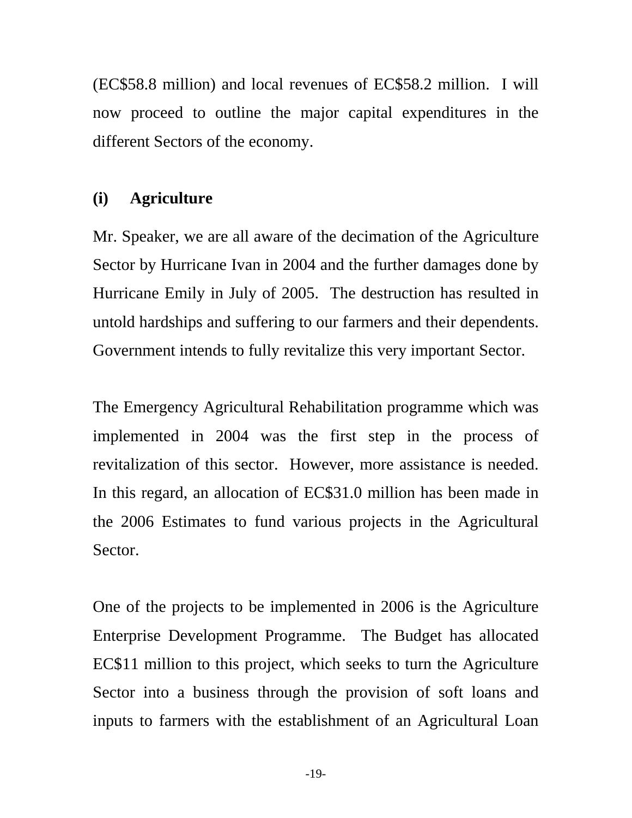<span id="page-18-0"></span>(EC\$58.8 million) and local revenues of EC\$58.2 million. I will now proceed to outline the major capital expenditures in the different Sectors of the economy.

## **(i) Agriculture**

Mr. Speaker, we are all aware of the decimation of the Agriculture Sector by Hurricane Ivan in 2004 and the further damages done by Hurricane Emily in July of 2005. The destruction has resulted in untold hardships and suffering to our farmers and their dependents. Government intends to fully revitalize this very important Sector.

The Emergency Agricultural Rehabilitation programme which was implemented in 2004 was the first step in the process of revitalization of this sector. However, more assistance is needed. In this regard, an allocation of EC\$31.0 million has been made in the 2006 Estimates to fund various projects in the Agricultural Sector.

One of the projects to be implemented in 2006 is the Agriculture Enterprise Development Programme. The Budget has allocated EC\$11 million to this project, which seeks to turn the Agriculture Sector into a business through the provision of soft loans and inputs to farmers with the establishment of an Agricultural Loan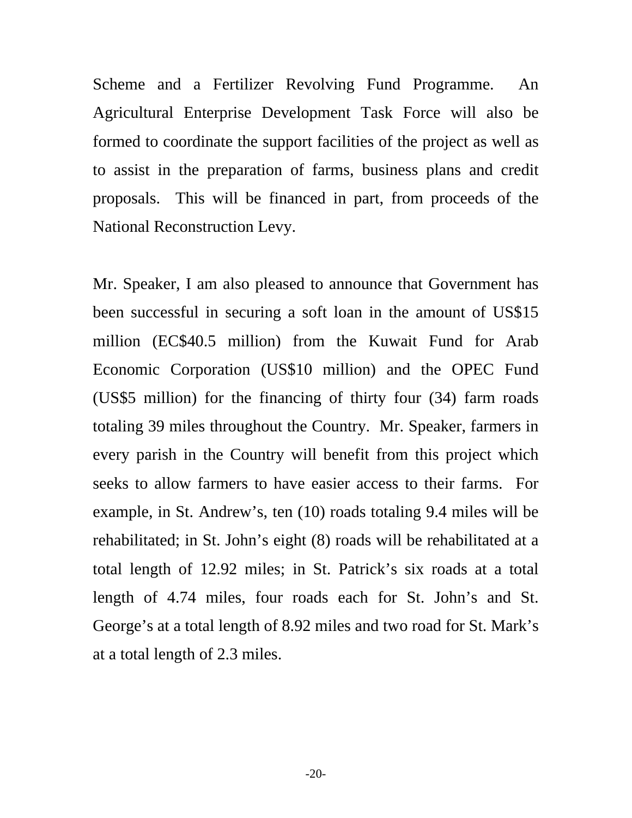Scheme and a Fertilizer Revolving Fund Programme. An Agricultural Enterprise Development Task Force will also be formed to coordinate the support facilities of the project as well as to assist in the preparation of farms, business plans and credit proposals. This will be financed in part, from proceeds of the National Reconstruction Levy.

Mr. Speaker, I am also pleased to announce that Government has been successful in securing a soft loan in the amount of US\$15 million (EC\$40.5 million) from the Kuwait Fund for Arab Economic Corporation (US\$10 million) and the OPEC Fund (US\$5 million) for the financing of thirty four (34) farm roads totaling 39 miles throughout the Country. Mr. Speaker, farmers in every parish in the Country will benefit from this project which seeks to allow farmers to have easier access to their farms. For example, in St. Andrew's, ten (10) roads totaling 9.4 miles will be rehabilitated; in St. John's eight (8) roads will be rehabilitated at a total length of 12.92 miles; in St. Patrick's six roads at a total length of 4.74 miles, four roads each for St. John's and St. George's at a total length of 8.92 miles and two road for St. Mark's at a total length of 2.3 miles.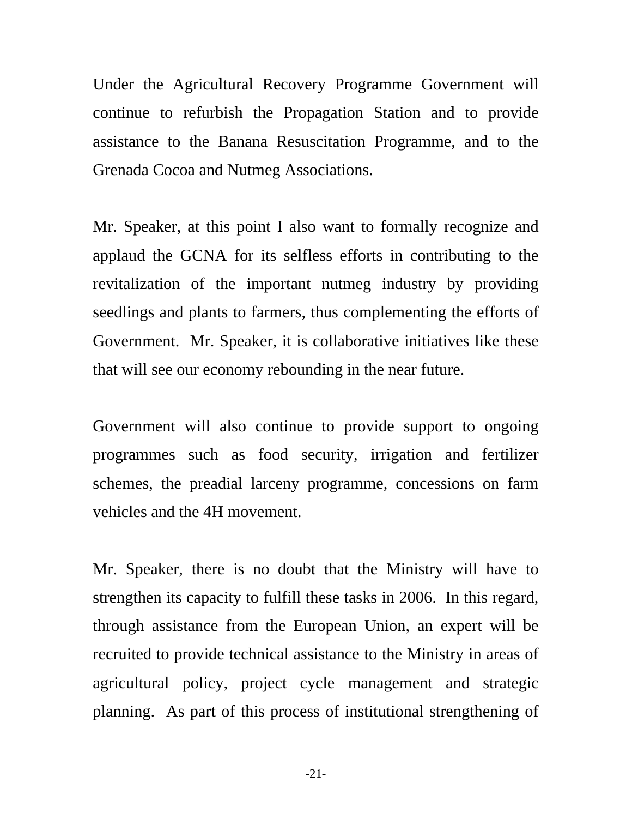Under the Agricultural Recovery Programme Government will continue to refurbish the Propagation Station and to provide assistance to the Banana Resuscitation Programme, and to the Grenada Cocoa and Nutmeg Associations.

Mr. Speaker, at this point I also want to formally recognize and applaud the GCNA for its selfless efforts in contributing to the revitalization of the important nutmeg industry by providing seedlings and plants to farmers, thus complementing the efforts of Government. Mr. Speaker, it is collaborative initiatives like these that will see our economy rebounding in the near future.

Government will also continue to provide support to ongoing programmes such as food security, irrigation and fertilizer schemes, the preadial larceny programme, concessions on farm vehicles and the 4H movement.

Mr. Speaker, there is no doubt that the Ministry will have to strengthen its capacity to fulfill these tasks in 2006. In this regard, through assistance from the European Union, an expert will be recruited to provide technical assistance to the Ministry in areas of agricultural policy, project cycle management and strategic planning. As part of this process of institutional strengthening of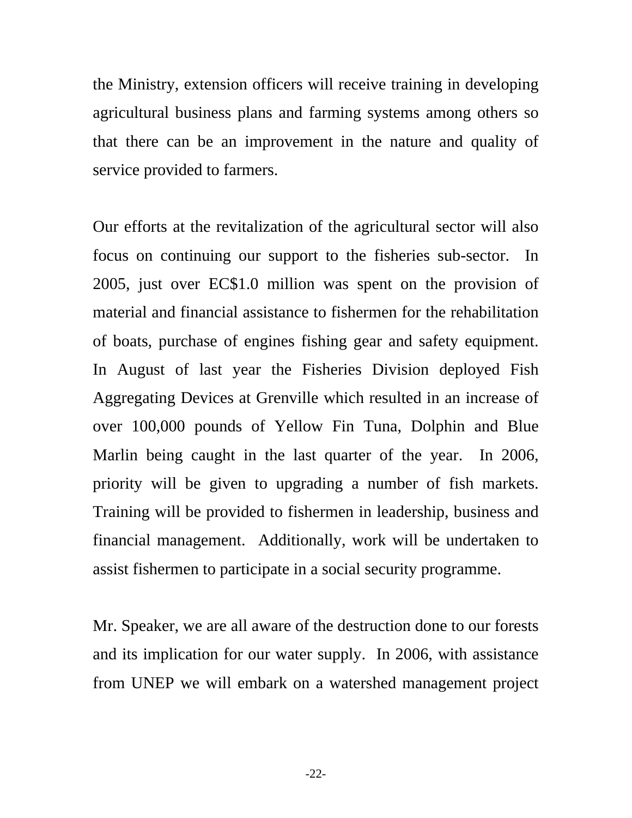the Ministry, extension officers will receive training in developing agricultural business plans and farming systems among others so that there can be an improvement in the nature and quality of service provided to farmers.

Our efforts at the revitalization of the agricultural sector will also focus on continuing our support to the fisheries sub-sector. In 2005, just over EC\$1.0 million was spent on the provision of material and financial assistance to fishermen for the rehabilitation of boats, purchase of engines fishing gear and safety equipment. In August of last year the Fisheries Division deployed Fish Aggregating Devices at Grenville which resulted in an increase of over 100,000 pounds of Yellow Fin Tuna, Dolphin and Blue Marlin being caught in the last quarter of the year. In 2006, priority will be given to upgrading a number of fish markets. Training will be provided to fishermen in leadership, business and financial management. Additionally, work will be undertaken to assist fishermen to participate in a social security programme.

Mr. Speaker, we are all aware of the destruction done to our forests and its implication for our water supply. In 2006, with assistance from UNEP we will embark on a watershed management project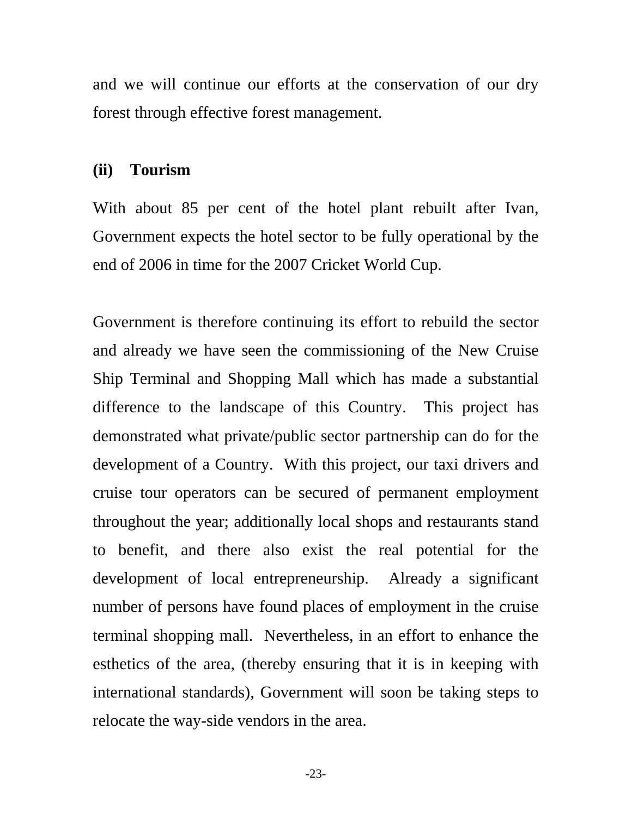<span id="page-22-0"></span>and we will continue our efforts at the conservation of our dry forest through effective forest management.

## **(ii) Tourism**

With about 85 per cent of the hotel plant rebuilt after Ivan, Government expects the hotel sector to be fully operational by the end of 2006 in time for the 2007 Cricket World Cup.

Government is therefore continuing its effort to rebuild the sector and already we have seen the commissioning of the New Cruise Ship Terminal and Shopping Mall which has made a substantial difference to the landscape of this Country. This project has demonstrated what private/public sector partnership can do for the development of a Country. With this project, our taxi drivers and cruise tour operators can be secured of permanent employment throughout the year; additionally local shops and restaurants stand to benefit, and there also exist the real potential for the development of local entrepreneurship. Already a significant number of persons have found places of employment in the cruise terminal shopping mall. Nevertheless, in an effort to enhance the esthetics of the area, (thereby ensuring that it is in keeping with international standards), Government will soon be taking steps to relocate the way-side vendors in the area.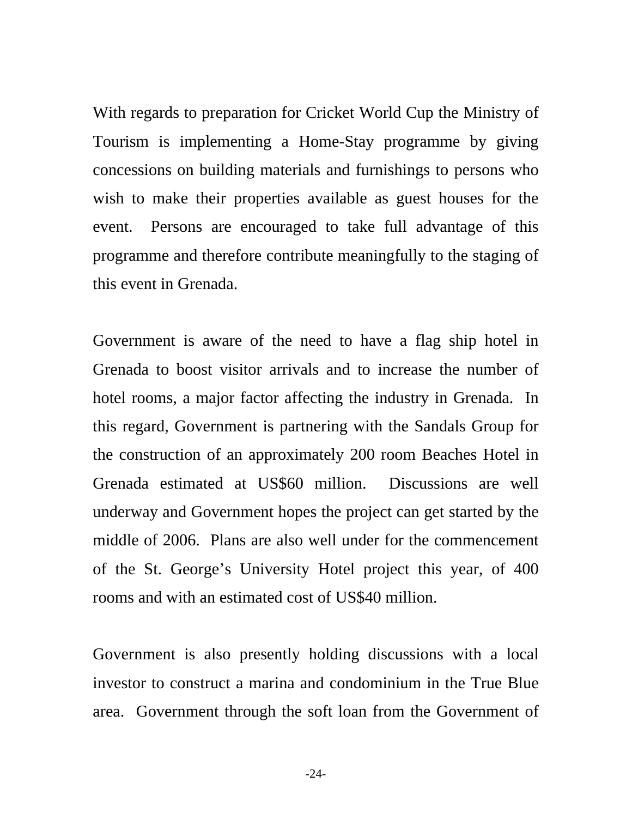With regards to preparation for Cricket World Cup the Ministry of Tourism is implementing a Home-Stay programme by giving concessions on building materials and furnishings to persons who wish to make their properties available as guest houses for the event. Persons are encouraged to take full advantage of this programme and therefore contribute meaningfully to the staging of this event in Grenada.

Government is aware of the need to have a flag ship hotel in Grenada to boost visitor arrivals and to increase the number of hotel rooms, a major factor affecting the industry in Grenada. In this regard, Government is partnering with the Sandals Group for the construction of an approximately 200 room Beaches Hotel in Grenada estimated at US\$60 million. Discussions are well underway and Government hopes the project can get started by the middle of 2006. Plans are also well under for the commencement of the St. George's University Hotel project this year, of 400 rooms and with an estimated cost of US\$40 million.

Government is also presently holding discussions with a local investor to construct a marina and condominium in the True Blue area. Government through the soft loan from the Government of

-24-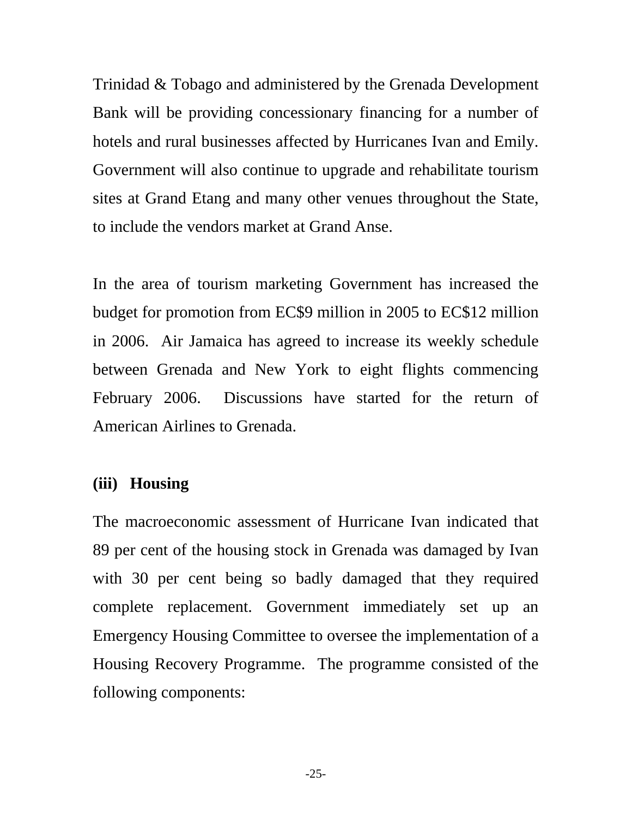<span id="page-24-0"></span>Trinidad & Tobago and administered by the Grenada Development Bank will be providing concessionary financing for a number of hotels and rural businesses affected by Hurricanes Ivan and Emily. Government will also continue to upgrade and rehabilitate tourism sites at Grand Etang and many other venues throughout the State, to include the vendors market at Grand Anse.

In the area of tourism marketing Government has increased the budget for promotion from EC\$9 million in 2005 to EC\$12 million in 2006. Air Jamaica has agreed to increase its weekly schedule between Grenada and New York to eight flights commencing February 2006. Discussions have started for the return of American Airlines to Grenada.

## **(iii) Housing**

The macroeconomic assessment of Hurricane Ivan indicated that 89 per cent of the housing stock in Grenada was damaged by Ivan with 30 per cent being so badly damaged that they required complete replacement. Government immediately set up an Emergency Housing Committee to oversee the implementation of a Housing Recovery Programme. The programme consisted of the following components:

-25-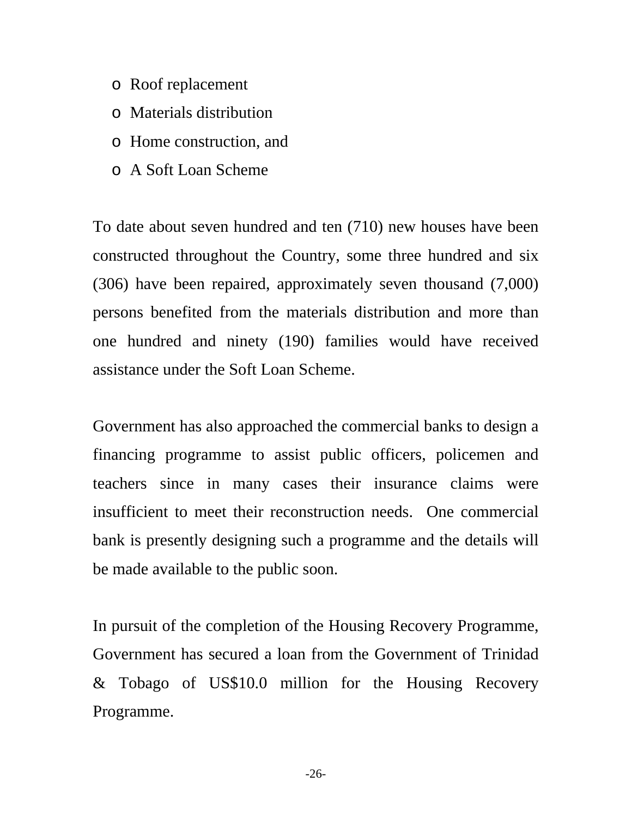- o Roof replacement
- o Materials distribution
- o Home construction, and
- o A Soft Loan Scheme

To date about seven hundred and ten (710) new houses have been constructed throughout the Country, some three hundred and six (306) have been repaired, approximately seven thousand (7,000) persons benefited from the materials distribution and more than one hundred and ninety (190) families would have received assistance under the Soft Loan Scheme.

Government has also approached the commercial banks to design a financing programme to assist public officers, policemen and teachers since in many cases their insurance claims were insufficient to meet their reconstruction needs. One commercial bank is presently designing such a programme and the details will be made available to the public soon.

In pursuit of the completion of the Housing Recovery Programme, Government has secured a loan from the Government of Trinidad & Tobago of US\$10.0 million for the Housing Recovery Programme.

-26-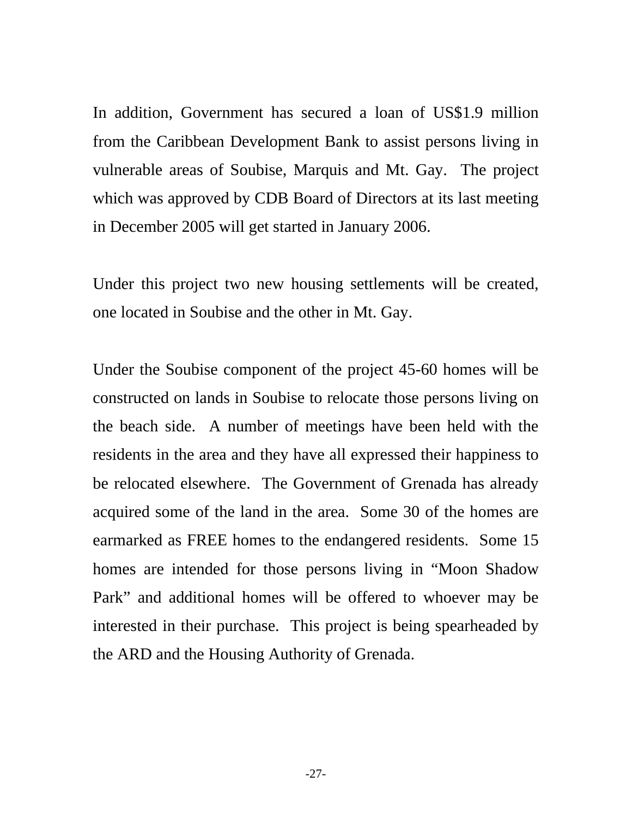In addition, Government has secured a loan of US\$1.9 million from the Caribbean Development Bank to assist persons living in vulnerable areas of Soubise, Marquis and Mt. Gay. The project which was approved by CDB Board of Directors at its last meeting in December 2005 will get started in January 2006.

Under this project two new housing settlements will be created, one located in Soubise and the other in Mt. Gay.

Under the Soubise component of the project 45-60 homes will be constructed on lands in Soubise to relocate those persons living on the beach side. A number of meetings have been held with the residents in the area and they have all expressed their happiness to be relocated elsewhere. The Government of Grenada has already acquired some of the land in the area. Some 30 of the homes are earmarked as FREE homes to the endangered residents. Some 15 homes are intended for those persons living in "Moon Shadow Park" and additional homes will be offered to whoever may be interested in their purchase. This project is being spearheaded by the ARD and the Housing Authority of Grenada.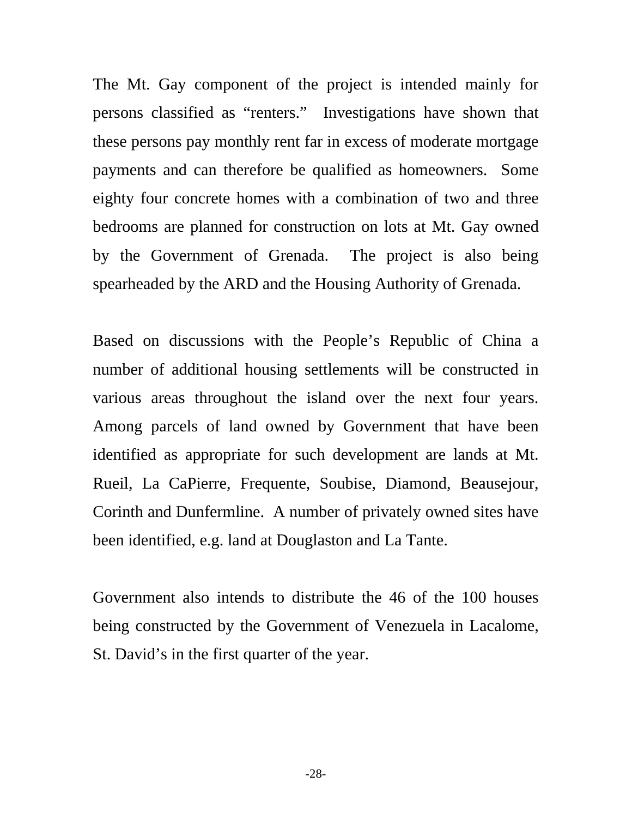The Mt. Gay component of the project is intended mainly for persons classified as "renters." Investigations have shown that these persons pay monthly rent far in excess of moderate mortgage payments and can therefore be qualified as homeowners. Some eighty four concrete homes with a combination of two and three bedrooms are planned for construction on lots at Mt. Gay owned by the Government of Grenada. The project is also being spearheaded by the ARD and the Housing Authority of Grenada.

Based on discussions with the People's Republic of China a number of additional housing settlements will be constructed in various areas throughout the island over the next four years. Among parcels of land owned by Government that have been identified as appropriate for such development are lands at Mt. Rueil, La CaPierre, Frequente, Soubise, Diamond, Beausejour, Corinth and Dunfermline. A number of privately owned sites have been identified, e.g. land at Douglaston and La Tante.

Government also intends to distribute the 46 of the 100 houses being constructed by the Government of Venezuela in Lacalome, St. David's in the first quarter of the year.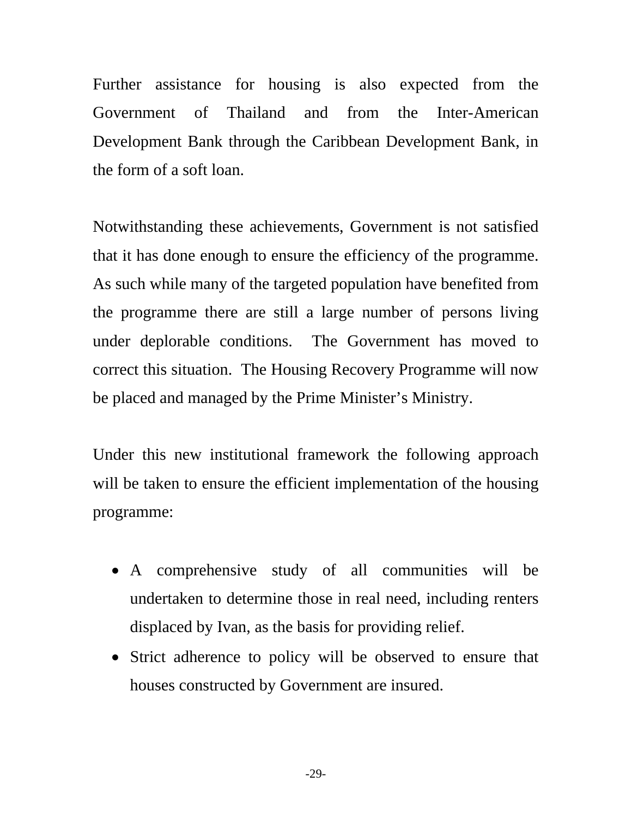Further assistance for housing is also expected from the Government of Thailand and from the Inter-American Development Bank through the Caribbean Development Bank, in the form of a soft loan.

Notwithstanding these achievements, Government is not satisfied that it has done enough to ensure the efficiency of the programme. As such while many of the targeted population have benefited from the programme there are still a large number of persons living under deplorable conditions. The Government has moved to correct this situation. The Housing Recovery Programme will now be placed and managed by the Prime Minister's Ministry.

Under this new institutional framework the following approach will be taken to ensure the efficient implementation of the housing programme:

- A comprehensive study of all communities will be undertaken to determine those in real need, including renters displaced by Ivan, as the basis for providing relief.
- Strict adherence to policy will be observed to ensure that houses constructed by Government are insured.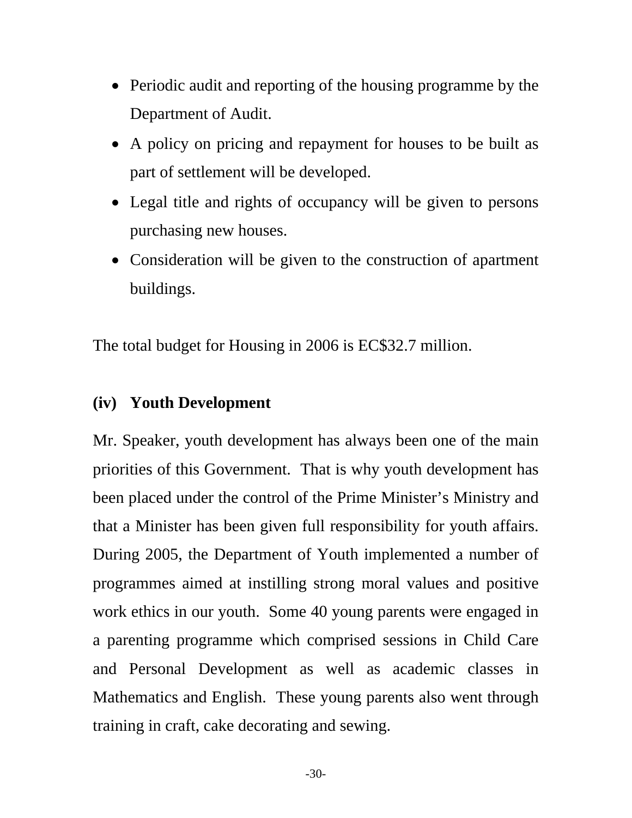- <span id="page-29-0"></span>• Periodic audit and reporting of the housing programme by the Department of Audit.
- A policy on pricing and repayment for houses to be built as part of settlement will be developed.
- Legal title and rights of occupancy will be given to persons purchasing new houses.
- Consideration will be given to the construction of apartment buildings.

The total budget for Housing in 2006 is EC\$32.7 million.

## **(iv) Youth Development**

Mr. Speaker, youth development has always been one of the main priorities of this Government. That is why youth development has been placed under the control of the Prime Minister's Ministry and that a Minister has been given full responsibility for youth affairs. During 2005, the Department of Youth implemented a number of programmes aimed at instilling strong moral values and positive work ethics in our youth. Some 40 young parents were engaged in a parenting programme which comprised sessions in Child Care and Personal Development as well as academic classes in Mathematics and English. These young parents also went through training in craft, cake decorating and sewing.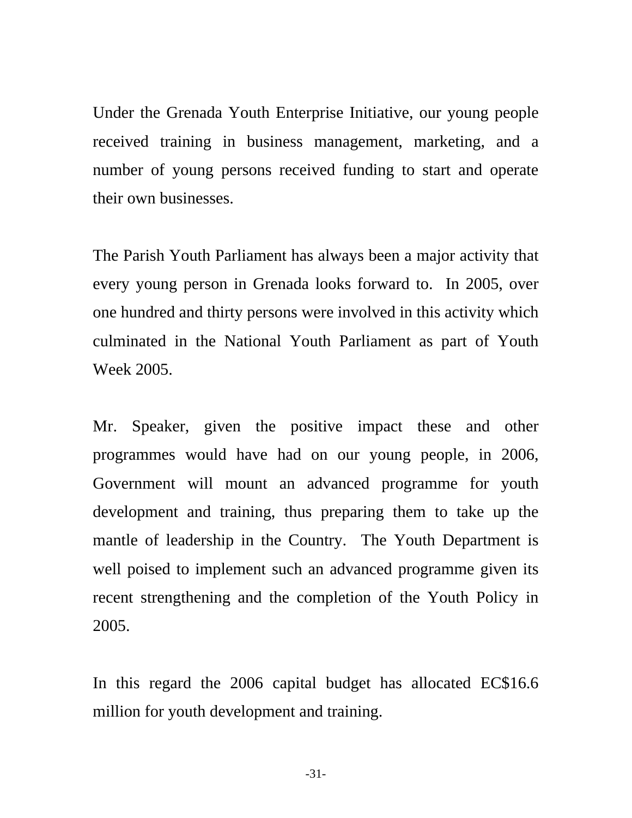Under the Grenada Youth Enterprise Initiative, our young people received training in business management, marketing, and a number of young persons received funding to start and operate their own businesses.

The Parish Youth Parliament has always been a major activity that every young person in Grenada looks forward to. In 2005, over one hundred and thirty persons were involved in this activity which culminated in the National Youth Parliament as part of Youth Week 2005.

Mr. Speaker, given the positive impact these and other programmes would have had on our young people, in 2006, Government will mount an advanced programme for youth development and training, thus preparing them to take up the mantle of leadership in the Country. The Youth Department is well poised to implement such an advanced programme given its recent strengthening and the completion of the Youth Policy in 2005.

In this regard the 2006 capital budget has allocated EC\$16.6 million for youth development and training.

-31-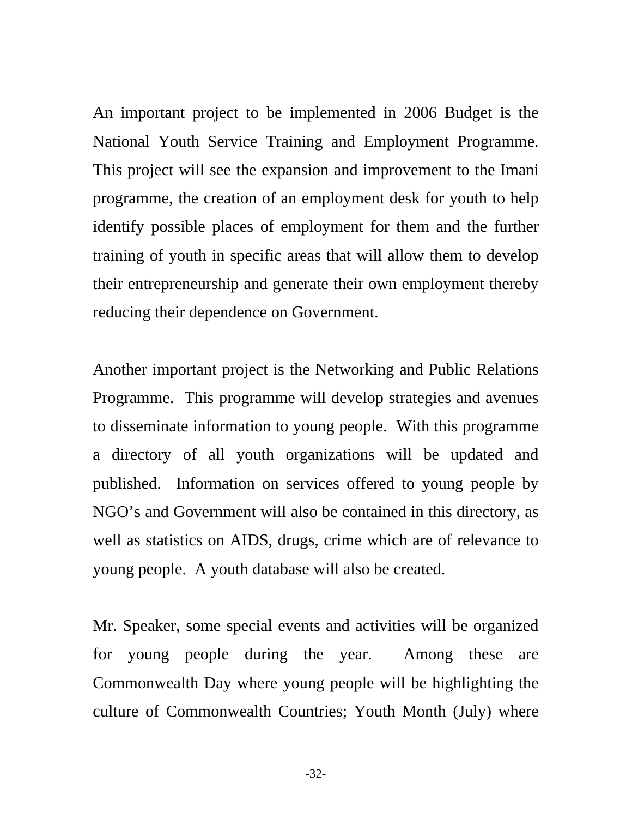An important project to be implemented in 2006 Budget is the National Youth Service Training and Employment Programme. This project will see the expansion and improvement to the Imani programme, the creation of an employment desk for youth to help identify possible places of employment for them and the further training of youth in specific areas that will allow them to develop their entrepreneurship and generate their own employment thereby reducing their dependence on Government.

Another important project is the Networking and Public Relations Programme. This programme will develop strategies and avenues to disseminate information to young people. With this programme a directory of all youth organizations will be updated and published. Information on services offered to young people by NGO's and Government will also be contained in this directory, as well as statistics on AIDS, drugs, crime which are of relevance to young people. A youth database will also be created.

Mr. Speaker, some special events and activities will be organized for young people during the year. Among these are Commonwealth Day where young people will be highlighting the culture of Commonwealth Countries; Youth Month (July) where

-32-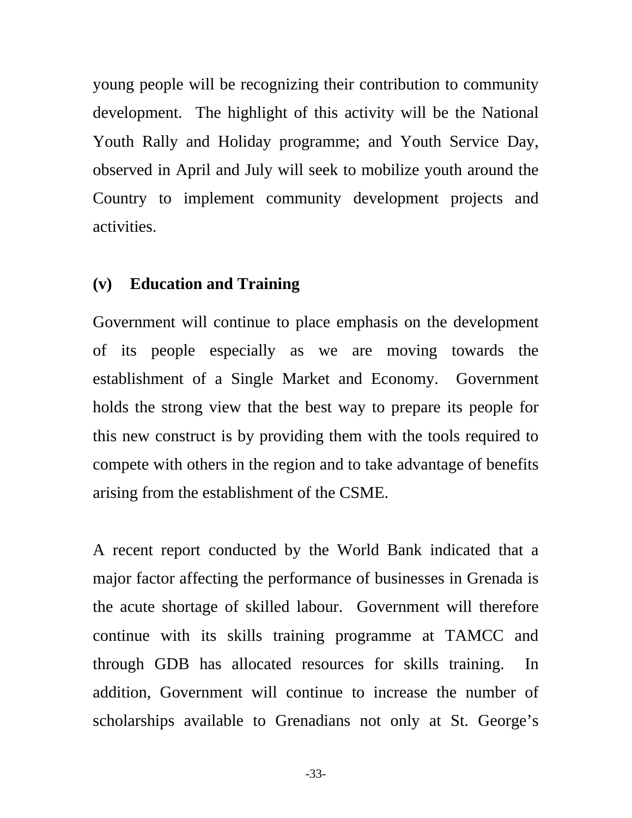<span id="page-32-0"></span>young people will be recognizing their contribution to community development. The highlight of this activity will be the National Youth Rally and Holiday programme; and Youth Service Day, observed in April and July will seek to mobilize youth around the Country to implement community development projects and activities.

## **(v) Education and Training**

Government will continue to place emphasis on the development of its people especially as we are moving towards the establishment of a Single Market and Economy. Government holds the strong view that the best way to prepare its people for this new construct is by providing them with the tools required to compete with others in the region and to take advantage of benefits arising from the establishment of the CSME.

A recent report conducted by the World Bank indicated that a major factor affecting the performance of businesses in Grenada is the acute shortage of skilled labour. Government will therefore continue with its skills training programme at TAMCC and through GDB has allocated resources for skills training. In addition, Government will continue to increase the number of scholarships available to Grenadians not only at St. George's

-33-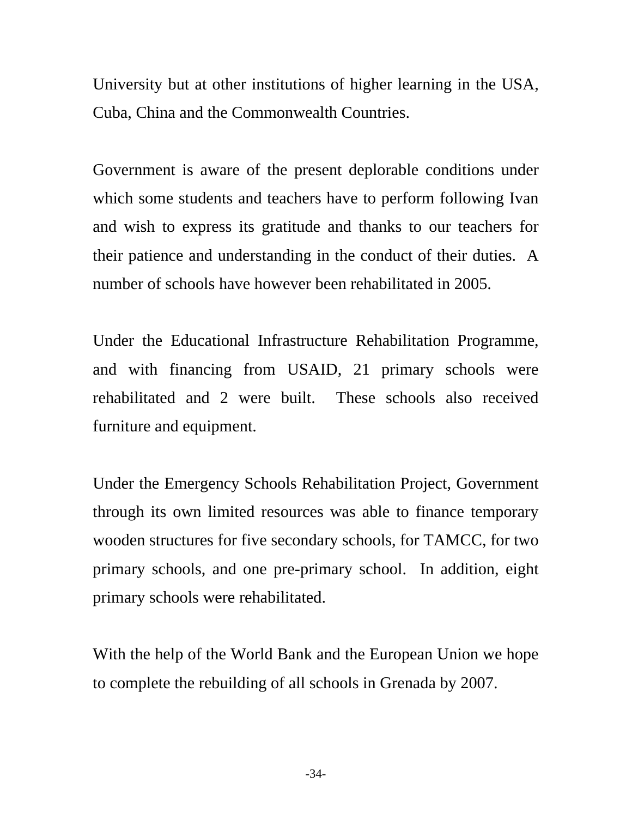University but at other institutions of higher learning in the USA, Cuba, China and the Commonwealth Countries.

Government is aware of the present deplorable conditions under which some students and teachers have to perform following Ivan and wish to express its gratitude and thanks to our teachers for their patience and understanding in the conduct of their duties. A number of schools have however been rehabilitated in 2005.

Under the Educational Infrastructure Rehabilitation Programme, and with financing from USAID, 21 primary schools were rehabilitated and 2 were built. These schools also received furniture and equipment.

Under the Emergency Schools Rehabilitation Project, Government through its own limited resources was able to finance temporary wooden structures for five secondary schools, for TAMCC, for two primary schools, and one pre-primary school. In addition, eight primary schools were rehabilitated.

With the help of the World Bank and the European Union we hope to complete the rebuilding of all schools in Grenada by 2007.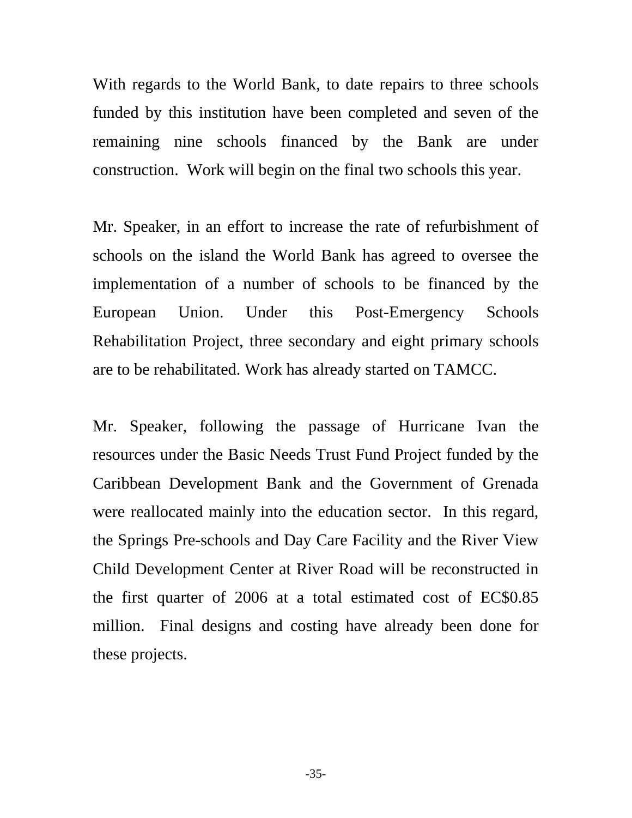With regards to the World Bank, to date repairs to three schools funded by this institution have been completed and seven of the remaining nine schools financed by the Bank are under construction. Work will begin on the final two schools this year.

Mr. Speaker, in an effort to increase the rate of refurbishment of schools on the island the World Bank has agreed to oversee the implementation of a number of schools to be financed by the European Union. Under this Post-Emergency Schools Rehabilitation Project, three secondary and eight primary schools are to be rehabilitated. Work has already started on TAMCC.

Mr. Speaker, following the passage of Hurricane Ivan the resources under the Basic Needs Trust Fund Project funded by the Caribbean Development Bank and the Government of Grenada were reallocated mainly into the education sector. In this regard, the Springs Pre-schools and Day Care Facility and the River View Child Development Center at River Road will be reconstructed in the first quarter of 2006 at a total estimated cost of EC\$0.85 million. Final designs and costing have already been done for these projects.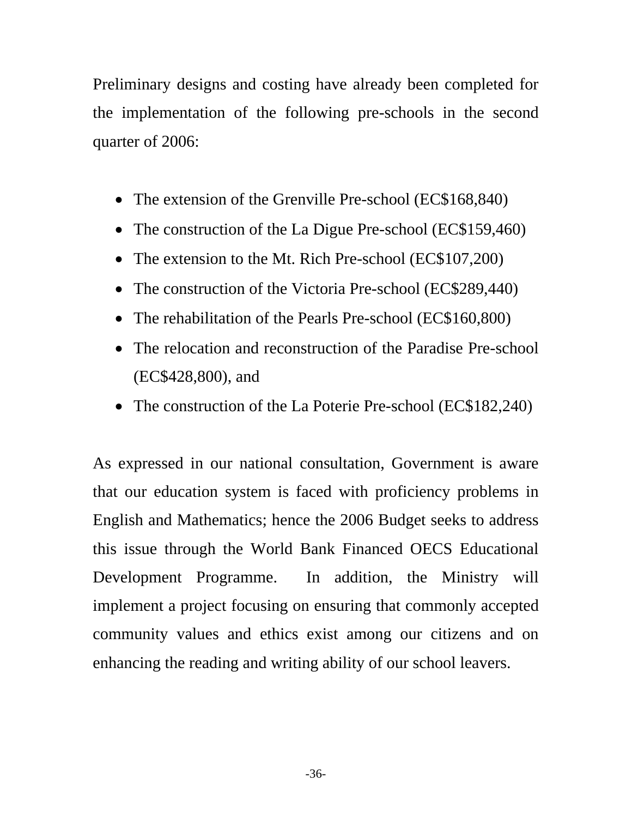Preliminary designs and costing have already been completed for the implementation of the following pre-schools in the second quarter of 2006:

- The extension of the Grenville Pre-school (EC\$168,840)
- The construction of the La Digue Pre-school (EC\$159,460)
- The extension to the Mt. Rich Pre-school (EC\$107,200)
- The construction of the Victoria Pre-school (EC\$289,440)
- The rehabilitation of the Pearls Pre-school (EC\$160,800)
- The relocation and reconstruction of the Paradise Pre-school (EC\$428,800), and
- The construction of the La Poterie Pre-school (EC\$182,240)

As expressed in our national consultation, Government is aware that our education system is faced with proficiency problems in English and Mathematics; hence the 2006 Budget seeks to address this issue through the World Bank Financed OECS Educational Development Programme. In addition, the Ministry will implement a project focusing on ensuring that commonly accepted community values and ethics exist among our citizens and on enhancing the reading and writing ability of our school leavers.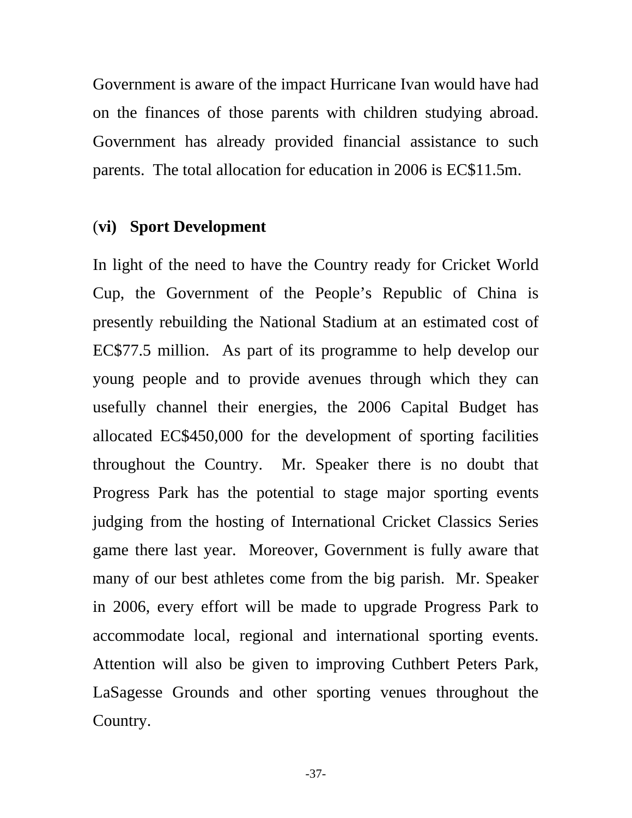Government is aware of the impact Hurricane Ivan would have had on the finances of those parents with children studying abroad. Government has already provided financial assistance to such parents. The total allocation for education in 2006 is EC\$11.5m.

## (**vi) Sport Development**

In light of the need to have the Country ready for Cricket World Cup, the Government of the People's Republic of China is presently rebuilding the National Stadium at an estimated cost of EC\$77.5 million. As part of its programme to help develop our young people and to provide avenues through which they can usefully channel their energies, the 2006 Capital Budget has allocated EC\$450,000 for the development of sporting facilities throughout the Country. Mr. Speaker there is no doubt that Progress Park has the potential to stage major sporting events judging from the hosting of International Cricket Classics Series game there last year. Moreover, Government is fully aware that many of our best athletes come from the big parish. Mr. Speaker in 2006, every effort will be made to upgrade Progress Park to accommodate local, regional and international sporting events. Attention will also be given to improving Cuthbert Peters Park, LaSagesse Grounds and other sporting venues throughout the Country.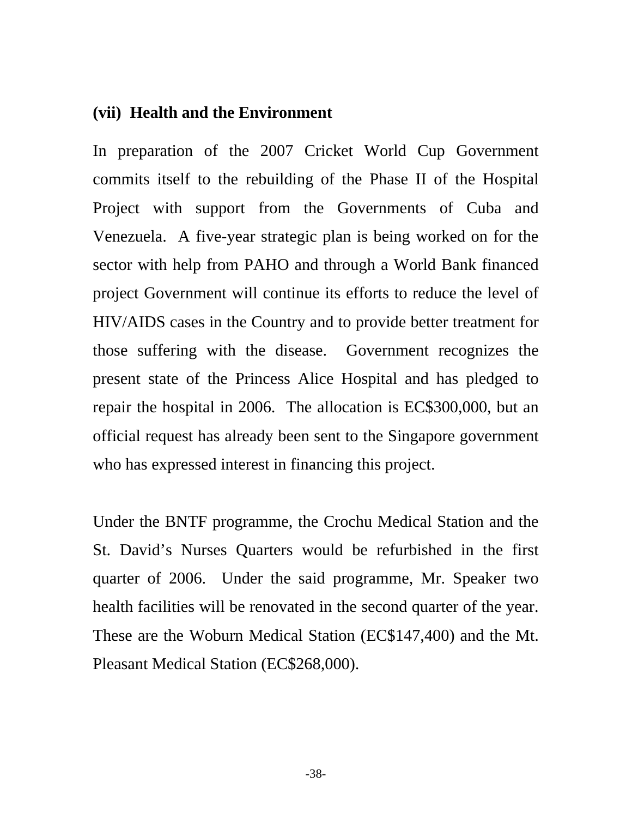## **(vii) Health and the Environment**

In preparation of the 2007 Cricket World Cup Government commits itself to the rebuilding of the Phase II of the Hospital Project with support from the Governments of Cuba and Venezuela. A five-year strategic plan is being worked on for the sector with help from PAHO and through a World Bank financed project Government will continue its efforts to reduce the level of HIV/AIDS cases in the Country and to provide better treatment for those suffering with the disease. Government recognizes the present state of the Princess Alice Hospital and has pledged to repair the hospital in 2006. The allocation is EC\$300,000, but an official request has already been sent to the Singapore government who has expressed interest in financing this project.

Under the BNTF programme, the Crochu Medical Station and the St. David's Nurses Quarters would be refurbished in the first quarter of 2006. Under the said programme, Mr. Speaker two health facilities will be renovated in the second quarter of the year. These are the Woburn Medical Station (EC\$147,400) and the Mt. Pleasant Medical Station (EC\$268,000).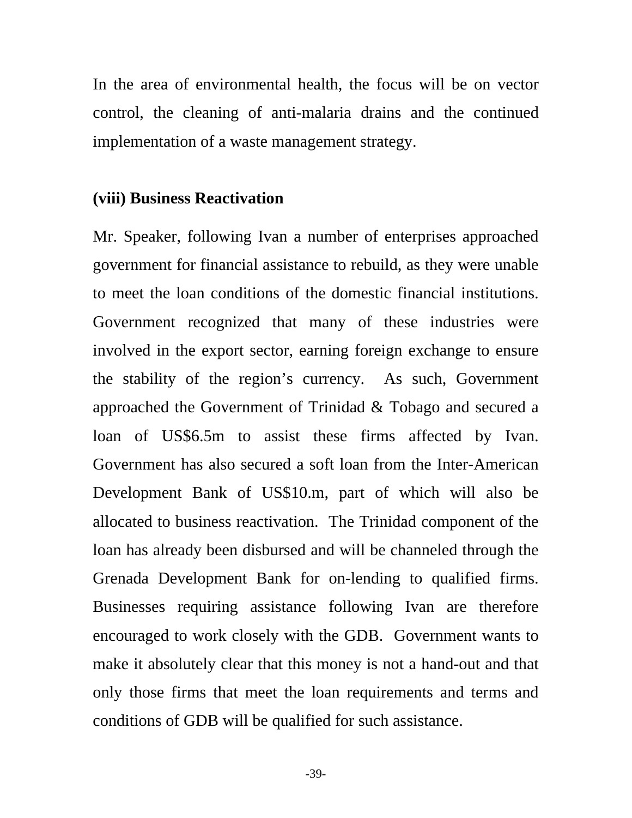In the area of environmental health, the focus will be on vector control, the cleaning of anti-malaria drains and the continued implementation of a waste management strategy.

### **(viii) Business Reactivation**

Mr. Speaker, following Ivan a number of enterprises approached government for financial assistance to rebuild, as they were unable to meet the loan conditions of the domestic financial institutions. Government recognized that many of these industries were involved in the export sector, earning foreign exchange to ensure the stability of the region's currency. As such, Government approached the Government of Trinidad & Tobago and secured a loan of US\$6.5m to assist these firms affected by Ivan. Government has also secured a soft loan from the Inter-American Development Bank of US\$10.m, part of which will also be allocated to business reactivation. The Trinidad component of the loan has already been disbursed and will be channeled through the Grenada Development Bank for on-lending to qualified firms. Businesses requiring assistance following Ivan are therefore encouraged to work closely with the GDB. Government wants to make it absolutely clear that this money is not a hand-out and that only those firms that meet the loan requirements and terms and conditions of GDB will be qualified for such assistance.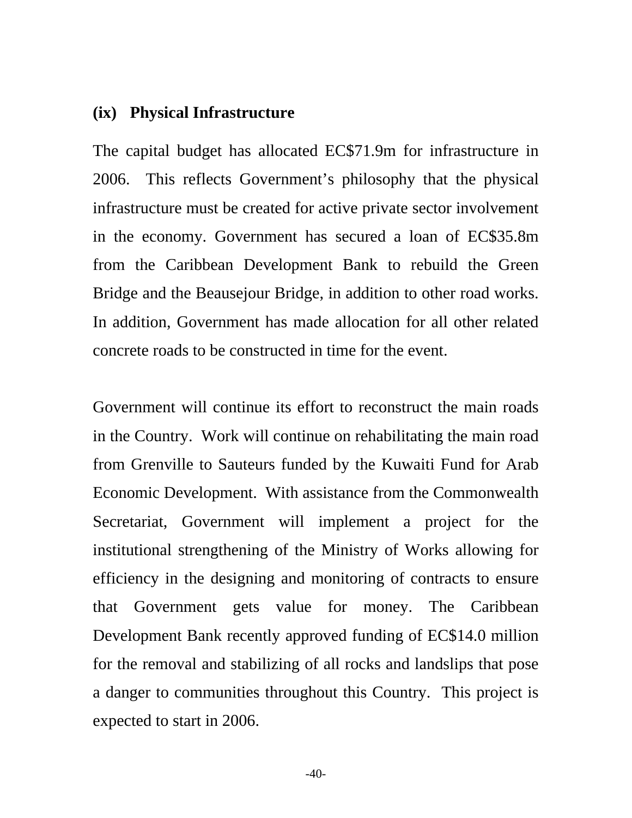### **(ix) Physical Infrastructure**

The capital budget has allocated EC\$71.9m for infrastructure in 2006. This reflects Government's philosophy that the physical infrastructure must be created for active private sector involvement in the economy. Government has secured a loan of EC\$35.8m from the Caribbean Development Bank to rebuild the Green Bridge and the Beausejour Bridge, in addition to other road works. In addition, Government has made allocation for all other related concrete roads to be constructed in time for the event.

Government will continue its effort to reconstruct the main roads in the Country. Work will continue on rehabilitating the main road from Grenville to Sauteurs funded by the Kuwaiti Fund for Arab Economic Development. With assistance from the Commonwealth Secretariat, Government will implement a project for the institutional strengthening of the Ministry of Works allowing for efficiency in the designing and monitoring of contracts to ensure that Government gets value for money. The Caribbean Development Bank recently approved funding of EC\$14.0 million for the removal and stabilizing of all rocks and landslips that pose a danger to communities throughout this Country. This project is expected to start in 2006.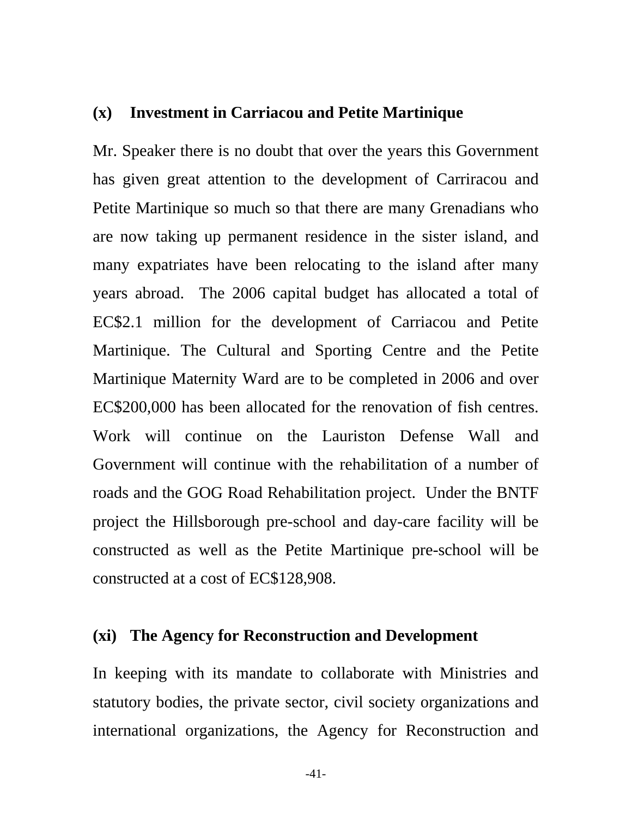### **(x) Investment in Carriacou and Petite Martinique**

Mr. Speaker there is no doubt that over the years this Government has given great attention to the development of Carriracou and Petite Martinique so much so that there are many Grenadians who are now taking up permanent residence in the sister island, and many expatriates have been relocating to the island after many years abroad. The 2006 capital budget has allocated a total of EC\$2.1 million for the development of Carriacou and Petite Martinique. The Cultural and Sporting Centre and the Petite Martinique Maternity Ward are to be completed in 2006 and over EC\$200,000 has been allocated for the renovation of fish centres. Work will continue on the Lauriston Defense Wall and Government will continue with the rehabilitation of a number of roads and the GOG Road Rehabilitation project. Under the BNTF project the Hillsborough pre-school and day-care facility will be constructed as well as the Petite Martinique pre-school will be constructed at a cost of EC\$128,908.

## **(xi) The Agency for Reconstruction and Development**

In keeping with its mandate to collaborate with Ministries and statutory bodies, the private sector, civil society organizations and international organizations, the Agency for Reconstruction and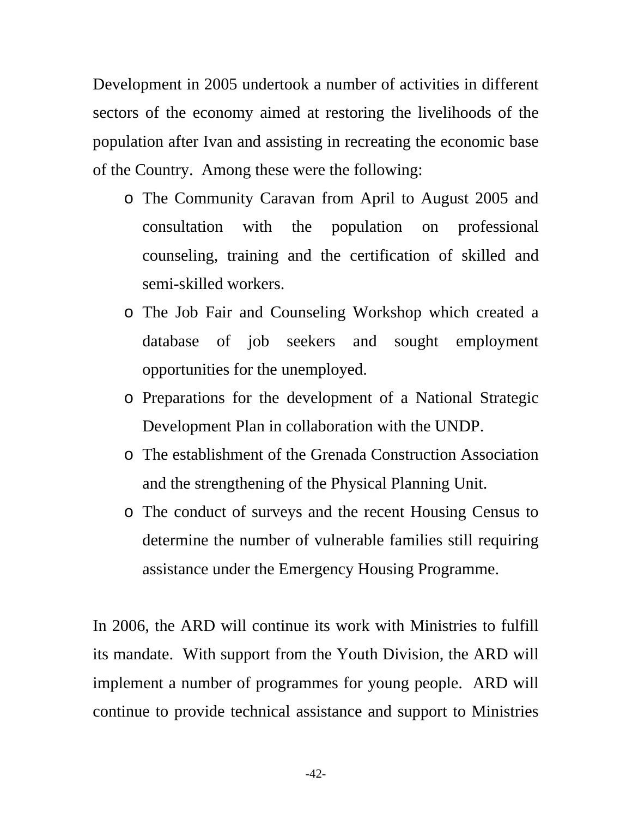Development in 2005 undertook a number of activities in different sectors of the economy aimed at restoring the livelihoods of the population after Ivan and assisting in recreating the economic base of the Country. Among these were the following:

- o The Community Caravan from April to August 2005 and consultation with the population on professional counseling, training and the certification of skilled and semi-skilled workers.
- o The Job Fair and Counseling Workshop which created a database of job seekers and sought employment opportunities for the unemployed.
- o Preparations for the development of a National Strategic Development Plan in collaboration with the UNDP.
- o The establishment of the Grenada Construction Association and the strengthening of the Physical Planning Unit.
- o The conduct of surveys and the recent Housing Census to determine the number of vulnerable families still requiring assistance under the Emergency Housing Programme.

In 2006, the ARD will continue its work with Ministries to fulfill its mandate. With support from the Youth Division, the ARD will implement a number of programmes for young people. ARD will continue to provide technical assistance and support to Ministries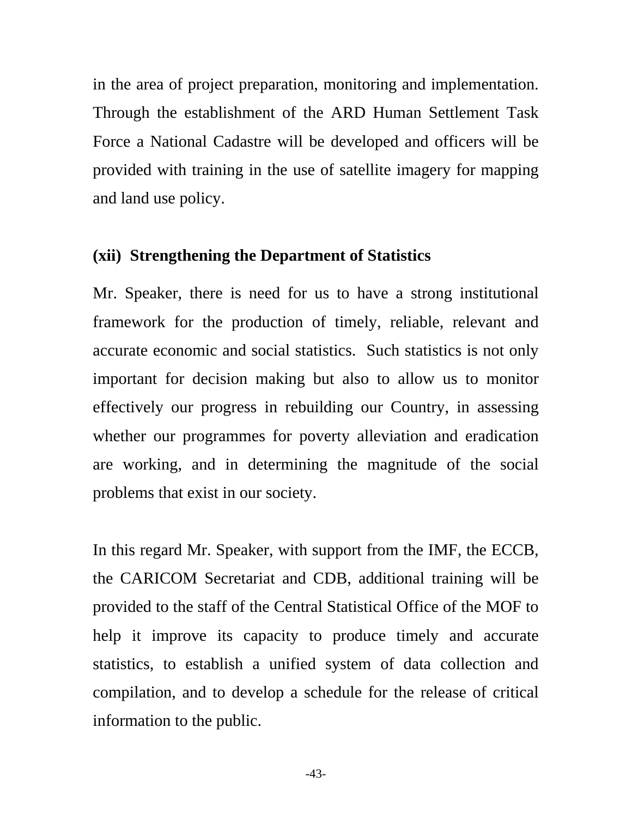in the area of project preparation, monitoring and implementation. Through the establishment of the ARD Human Settlement Task Force a National Cadastre will be developed and officers will be provided with training in the use of satellite imagery for mapping and land use policy.

### **(xii) Strengthening the Department of Statistics**

Mr. Speaker, there is need for us to have a strong institutional framework for the production of timely, reliable, relevant and accurate economic and social statistics. Such statistics is not only important for decision making but also to allow us to monitor effectively our progress in rebuilding our Country, in assessing whether our programmes for poverty alleviation and eradication are working, and in determining the magnitude of the social problems that exist in our society.

In this regard Mr. Speaker, with support from the IMF, the ECCB, the CARICOM Secretariat and CDB, additional training will be provided to the staff of the Central Statistical Office of the MOF to help it improve its capacity to produce timely and accurate statistics, to establish a unified system of data collection and compilation, and to develop a schedule for the release of critical information to the public.

-43-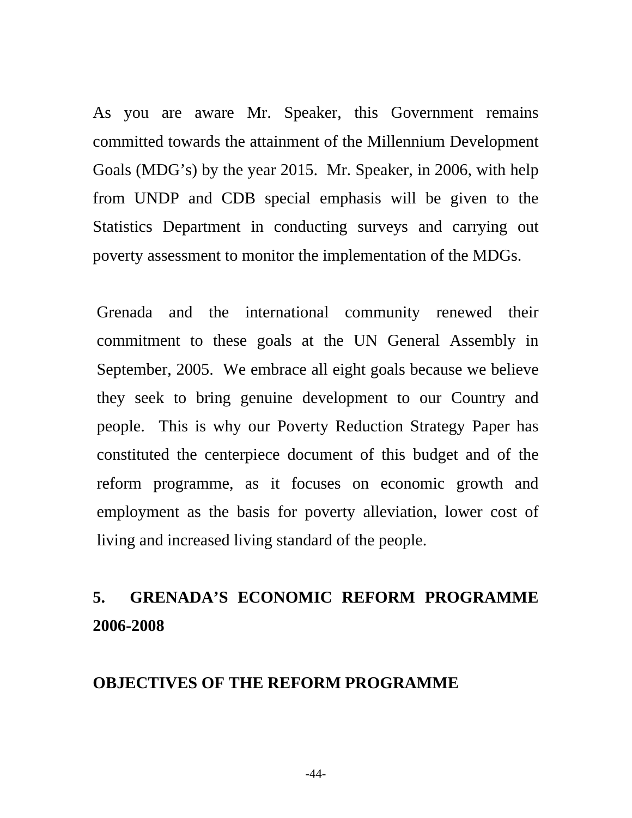As you are aware Mr. Speaker, this Government remains committed towards the attainment of the Millennium Development Goals (MDG's) by the year 2015. Mr. Speaker, in 2006, with help from UNDP and CDB special emphasis will be given to the Statistics Department in conducting surveys and carrying out poverty assessment to monitor the implementation of the MDGs.

Grenada and the international community renewed their commitment to these goals at the UN General Assembly in September, 2005. We embrace all eight goals because we believe they seek to bring genuine development to our Country and people. This is why our Poverty Reduction Strategy Paper has constituted the centerpiece document of this budget and of the reform programme, as it focuses on economic growth and employment as the basis for poverty alleviation, lower cost of living and increased living standard of the people.

# **5. GRENADA'S ECONOMIC REFORM PROGRAMME 2006-2008**

## **OBJECTIVES OF THE REFORM PROGRAMME**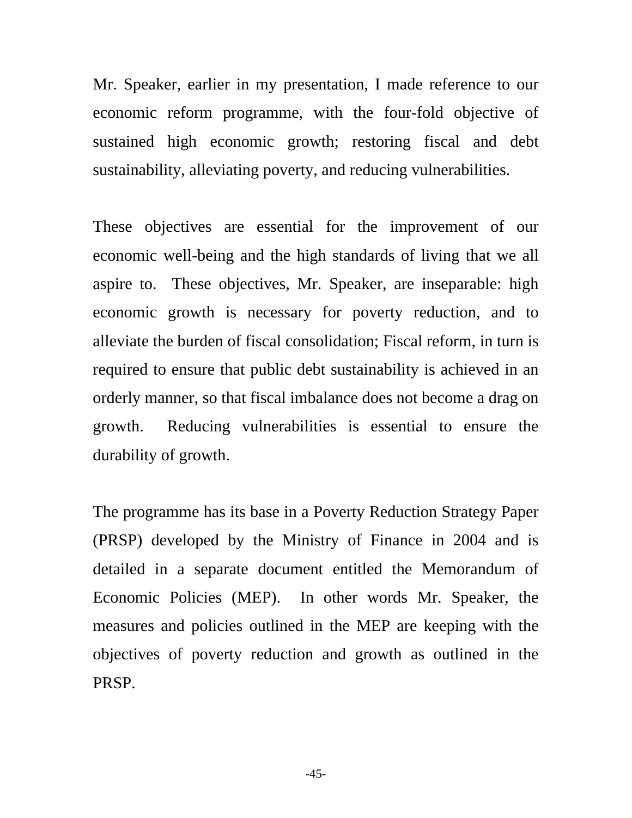Mr. Speaker, earlier in my presentation, I made reference to our economic reform programme, with the four-fold objective of sustained high economic growth; restoring fiscal and debt sustainability, alleviating poverty, and reducing vulnerabilities.

These objectives are essential for the improvement of our economic well-being and the high standards of living that we all aspire to. These objectives, Mr. Speaker, are inseparable: high economic growth is necessary for poverty reduction, and to alleviate the burden of fiscal consolidation; Fiscal reform, in turn is required to ensure that public debt sustainability is achieved in an orderly manner, so that fiscal imbalance does not become a drag on growth. Reducing vulnerabilities is essential to ensure the durability of growth.

The programme has its base in a Poverty Reduction Strategy Paper (PRSP) developed by the Ministry of Finance in 2004 and is detailed in a separate document entitled the Memorandum of Economic Policies (MEP). In other words Mr. Speaker, the measures and policies outlined in the MEP are keeping with the objectives of poverty reduction and growth as outlined in the PRSP.

-45-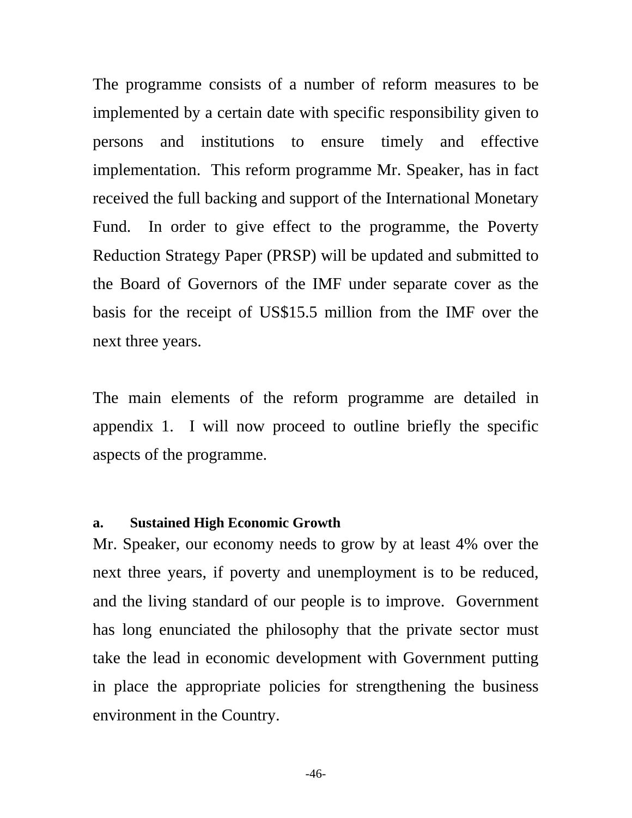The programme consists of a number of reform measures to be implemented by a certain date with specific responsibility given to persons and institutions to ensure timely and effective implementation. This reform programme Mr. Speaker, has in fact received the full backing and support of the International Monetary Fund. In order to give effect to the programme, the Poverty Reduction Strategy Paper (PRSP) will be updated and submitted to the Board of Governors of the IMF under separate cover as the basis for the receipt of US\$15.5 million from the IMF over the next three years.

The main elements of the reform programme are detailed in appendix 1. I will now proceed to outline briefly the specific aspects of the programme.

#### **a. Sustained High Economic Growth**

Mr. Speaker, our economy needs to grow by at least 4% over the next three years, if poverty and unemployment is to be reduced, and the living standard of our people is to improve. Government has long enunciated the philosophy that the private sector must take the lead in economic development with Government putting in place the appropriate policies for strengthening the business environment in the Country.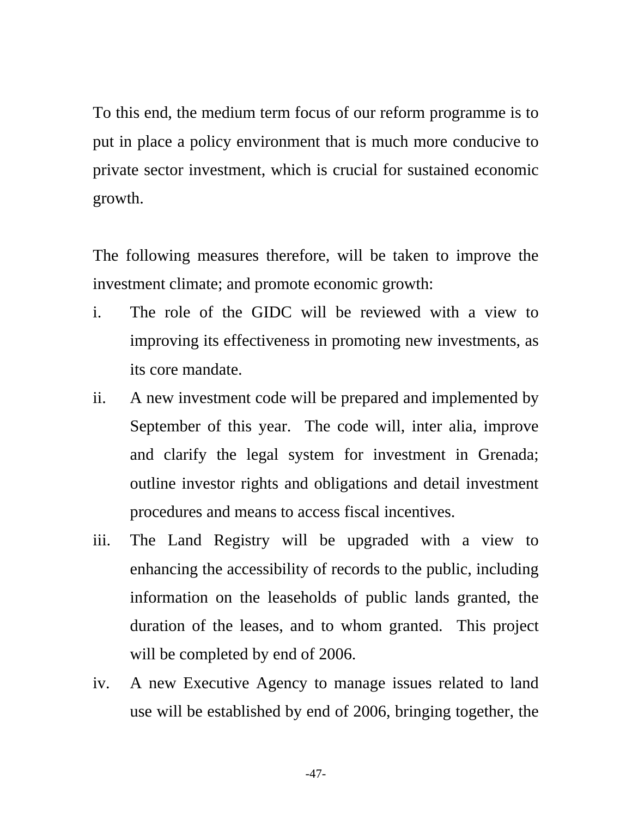To this end, the medium term focus of our reform programme is to put in place a policy environment that is much more conducive to private sector investment, which is crucial for sustained economic growth.

The following measures therefore, will be taken to improve the investment climate; and promote economic growth:

- i. The role of the GIDC will be reviewed with a view to improving its effectiveness in promoting new investments, as its core mandate.
- ii. A new investment code will be prepared and implemented by September of this year. The code will, inter alia, improve and clarify the legal system for investment in Grenada; outline investor rights and obligations and detail investment procedures and means to access fiscal incentives.
- iii. The Land Registry will be upgraded with a view to enhancing the accessibility of records to the public, including information on the leaseholds of public lands granted, the duration of the leases, and to whom granted. This project will be completed by end of 2006.
- iv. A new Executive Agency to manage issues related to land use will be established by end of 2006, bringing together, the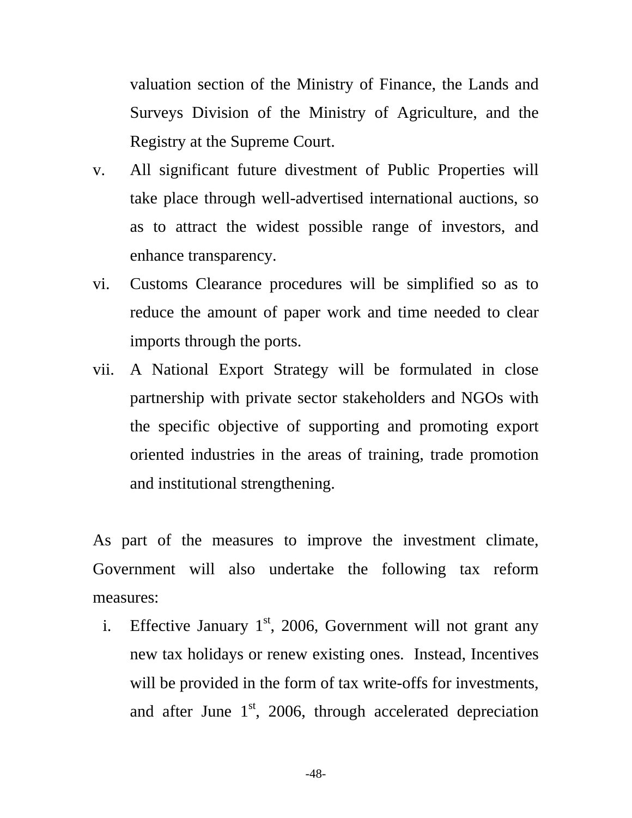valuation section of the Ministry of Finance, the Lands and Surveys Division of the Ministry of Agriculture, and the Registry at the Supreme Court.

- v. All significant future divestment of Public Properties will take place through well-advertised international auctions, so as to attract the widest possible range of investors, and enhance transparency.
- vi. Customs Clearance procedures will be simplified so as to reduce the amount of paper work and time needed to clear imports through the ports.
- vii. A National Export Strategy will be formulated in close partnership with private sector stakeholders and NGOs with the specific objective of supporting and promoting export oriented industries in the areas of training, trade promotion and institutional strengthening.

As part of the measures to improve the investment climate, Government will also undertake the following tax reform measures:

i. Effective January  $1<sup>st</sup>$ , 2006, Government will not grant any new tax holidays or renew existing ones. Instead, Incentives will be provided in the form of tax write-offs for investments, and after June  $1<sup>st</sup>$ , 2006, through accelerated depreciation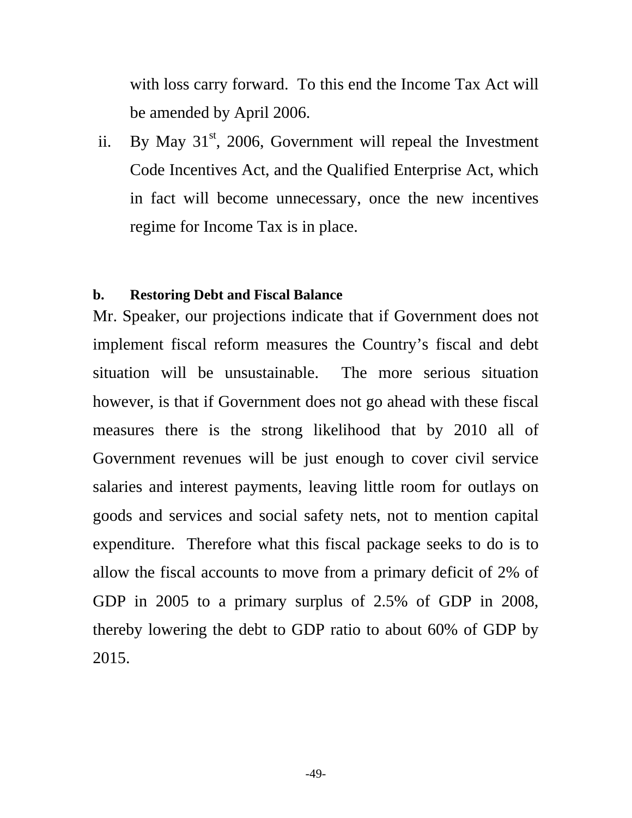with loss carry forward. To this end the Income Tax Act will be amended by April 2006.

ii. By May  $31<sup>st</sup>$ , 2006, Government will repeal the Investment Code Incentives Act, and the Qualified Enterprise Act, which in fact will become unnecessary, once the new incentives regime for Income Tax is in place.

#### **b. Restoring Debt and Fiscal Balance**

Mr. Speaker, our projections indicate that if Government does not implement fiscal reform measures the Country's fiscal and debt situation will be unsustainable. The more serious situation however, is that if Government does not go ahead with these fiscal measures there is the strong likelihood that by 2010 all of Government revenues will be just enough to cover civil service salaries and interest payments, leaving little room for outlays on goods and services and social safety nets, not to mention capital expenditure. Therefore what this fiscal package seeks to do is to allow the fiscal accounts to move from a primary deficit of 2% of GDP in 2005 to a primary surplus of 2.5% of GDP in 2008, thereby lowering the debt to GDP ratio to about 60% of GDP by 2015.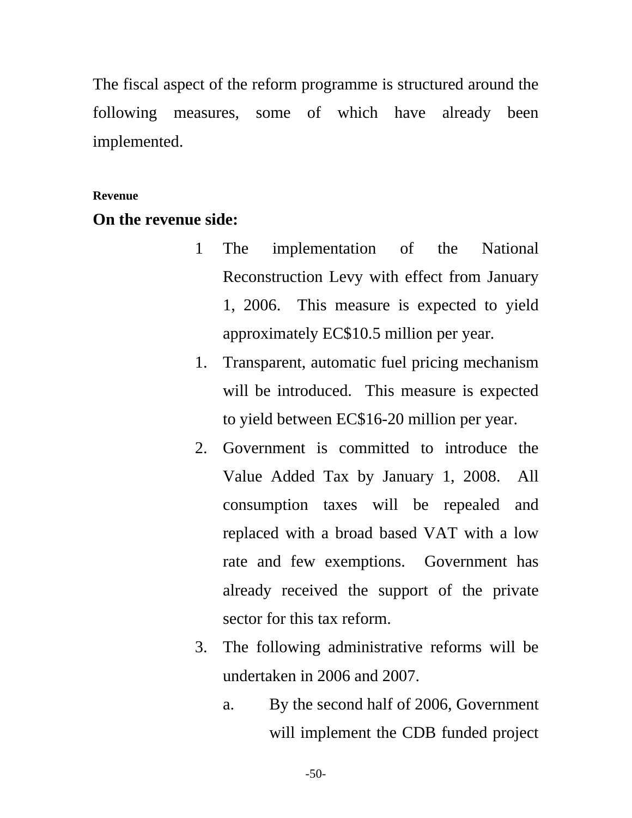The fiscal aspect of the reform programme is structured around the following measures, some of which have already been implemented.

#### **Revenue**

## **On the revenue side:**

- 1 The implementation of the National Reconstruction Levy with effect from January 1, 2006. This measure is expected to yield approximately EC\$10.5 million per year.
- 1. Transparent, automatic fuel pricing mechanism will be introduced. This measure is expected to yield between EC\$16-20 million per year.
- 2. Government is committed to introduce the Value Added Tax by January 1, 2008. All consumption taxes will be repealed and replaced with a broad based VAT with a low rate and few exemptions. Government has already received the support of the private sector for this tax reform.
- 3. The following administrative reforms will be undertaken in 2006 and 2007.
	- a. By the second half of 2006, Government will implement the CDB funded project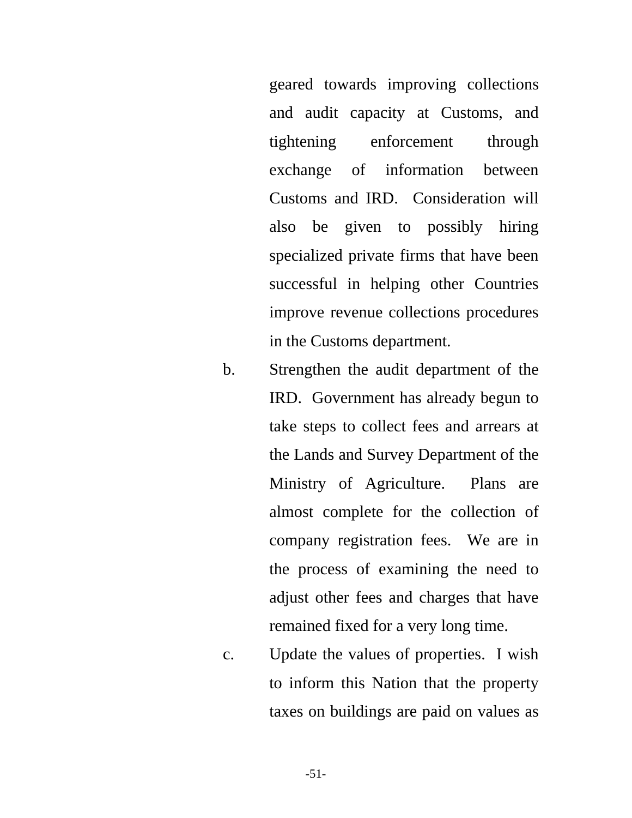geared towards improving collections and audit capacity at Customs, and tightening enforcement through exchange of information between Customs and IRD. Consideration will also be given to possibly hiring specialized private firms that have been successful in helping other Countries improve revenue collections procedures in the Customs department.

- b. Strengthen the audit department of the IRD. Government has already begun to take steps to collect fees and arrears at the Lands and Survey Department of the Ministry of Agriculture. Plans are almost complete for the collection of company registration fees. We are in the process of examining the need to adjust other fees and charges that have remained fixed for a very long time.
- c. Update the values of properties. I wish to inform this Nation that the property taxes on buildings are paid on values as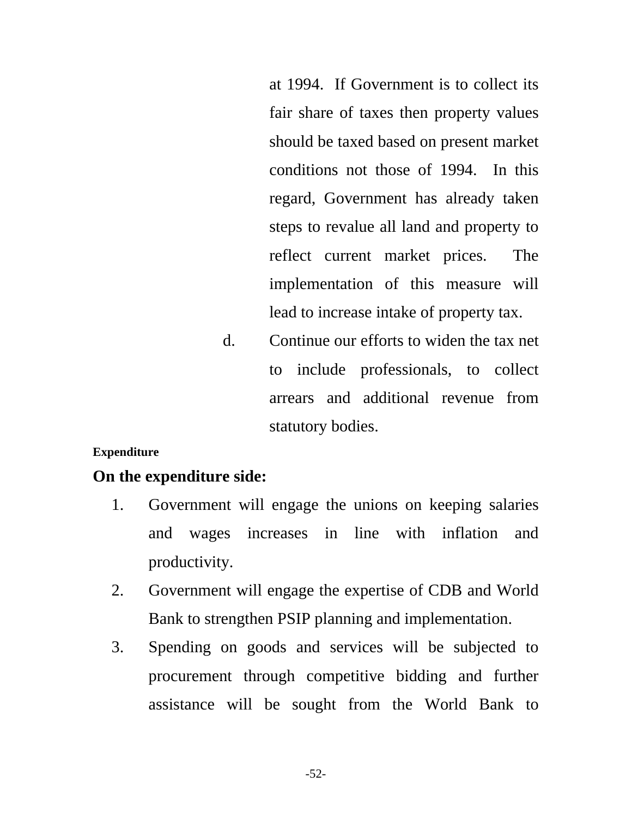at 1994. If Government is to collect its fair share of taxes then property values should be taxed based on present market conditions not those of 1994. In this regard, Government has already taken steps to revalue all land and property to reflect current market prices. The implementation of this measure will lead to increase intake of property tax.

d. Continue our efforts to widen the tax net to include professionals, to collect arrears and additional revenue from statutory bodies.

#### **Expenditure**

#### **On the expenditure side:**

- 1. Government will engage the unions on keeping salaries and wages increases in line with inflation and productivity.
- 2. Government will engage the expertise of CDB and World Bank to strengthen PSIP planning and implementation.
- 3. Spending on goods and services will be subjected to procurement through competitive bidding and further assistance will be sought from the World Bank to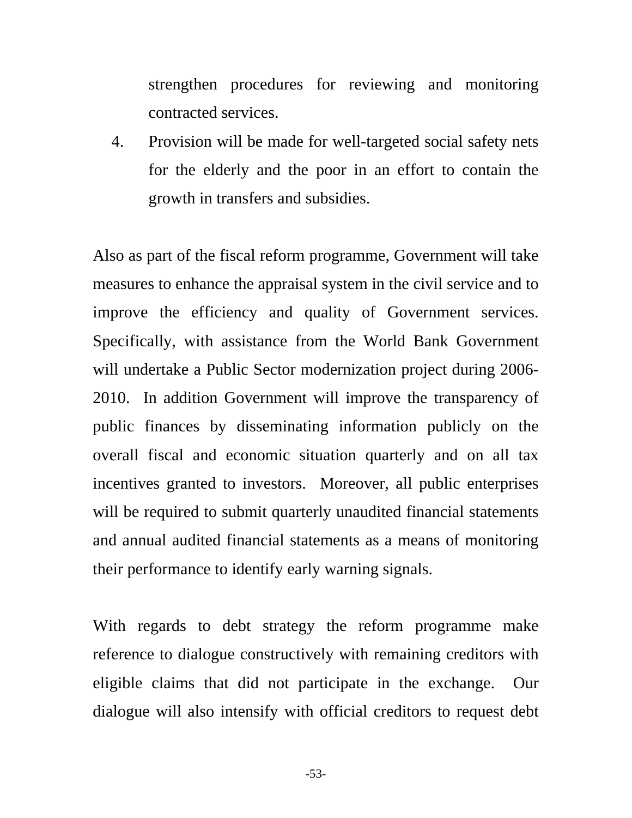strengthen procedures for reviewing and monitoring contracted services.

4. Provision will be made for well-targeted social safety nets for the elderly and the poor in an effort to contain the growth in transfers and subsidies.

Also as part of the fiscal reform programme, Government will take measures to enhance the appraisal system in the civil service and to improve the efficiency and quality of Government services. Specifically, with assistance from the World Bank Government will undertake a Public Sector modernization project during 2006- 2010. In addition Government will improve the transparency of public finances by disseminating information publicly on the overall fiscal and economic situation quarterly and on all tax incentives granted to investors. Moreover, all public enterprises will be required to submit quarterly unaudited financial statements and annual audited financial statements as a means of monitoring their performance to identify early warning signals.

With regards to debt strategy the reform programme make reference to dialogue constructively with remaining creditors with eligible claims that did not participate in the exchange. Our dialogue will also intensify with official creditors to request debt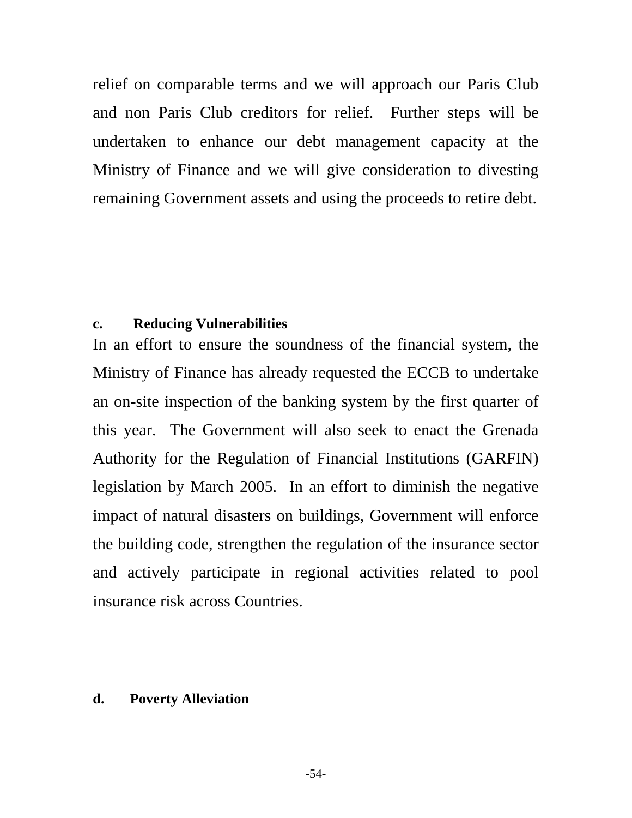relief on comparable terms and we will approach our Paris Club and non Paris Club creditors for relief. Further steps will be undertaken to enhance our debt management capacity at the Ministry of Finance and we will give consideration to divesting remaining Government assets and using the proceeds to retire debt.

#### **c. Reducing Vulnerabilities**

In an effort to ensure the soundness of the financial system, the Ministry of Finance has already requested the ECCB to undertake an on-site inspection of the banking system by the first quarter of this year. The Government will also seek to enact the Grenada Authority for the Regulation of Financial Institutions (GARFIN) legislation by March 2005. In an effort to diminish the negative impact of natural disasters on buildings, Government will enforce the building code, strengthen the regulation of the insurance sector and actively participate in regional activities related to pool insurance risk across Countries.

#### **d. Poverty Alleviation**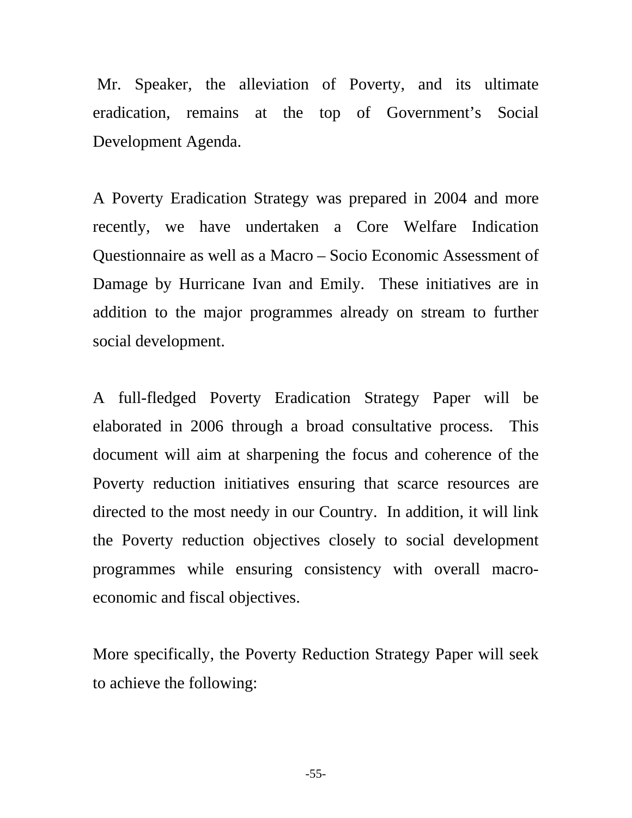Mr. Speaker, the alleviation of Poverty, and its ultimate eradication, remains at the top of Government's Social Development Agenda.

A Poverty Eradication Strategy was prepared in 2004 and more recently, we have undertaken a Core Welfare Indication Questionnaire as well as a Macro – Socio Economic Assessment of Damage by Hurricane Ivan and Emily. These initiatives are in addition to the major programmes already on stream to further social development.

A full-fledged Poverty Eradication Strategy Paper will be elaborated in 2006 through a broad consultative process. This document will aim at sharpening the focus and coherence of the Poverty reduction initiatives ensuring that scarce resources are directed to the most needy in our Country. In addition, it will link the Poverty reduction objectives closely to social development programmes while ensuring consistency with overall macroeconomic and fiscal objectives.

More specifically, the Poverty Reduction Strategy Paper will seek to achieve the following: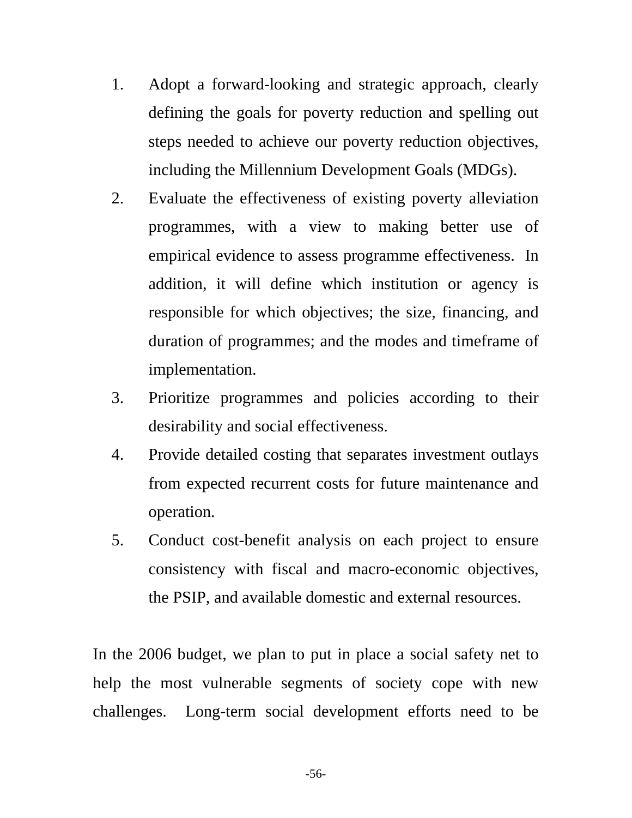- 1. Adopt a forward-looking and strategic approach, clearly defining the goals for poverty reduction and spelling out steps needed to achieve our poverty reduction objectives, including the Millennium Development Goals (MDGs).
- 2. Evaluate the effectiveness of existing poverty alleviation programmes, with a view to making better use of empirical evidence to assess programme effectiveness. In addition, it will define which institution or agency is responsible for which objectives; the size, financing, and duration of programmes; and the modes and timeframe of implementation.
- 3. Prioritize programmes and policies according to their desirability and social effectiveness.
- 4. Provide detailed costing that separates investment outlays from expected recurrent costs for future maintenance and operation.
- 5. Conduct cost-benefit analysis on each project to ensure consistency with fiscal and macro-economic objectives, the PSIP, and available domestic and external resources.

In the 2006 budget, we plan to put in place a social safety net to help the most vulnerable segments of society cope with new challenges. Long-term social development efforts need to be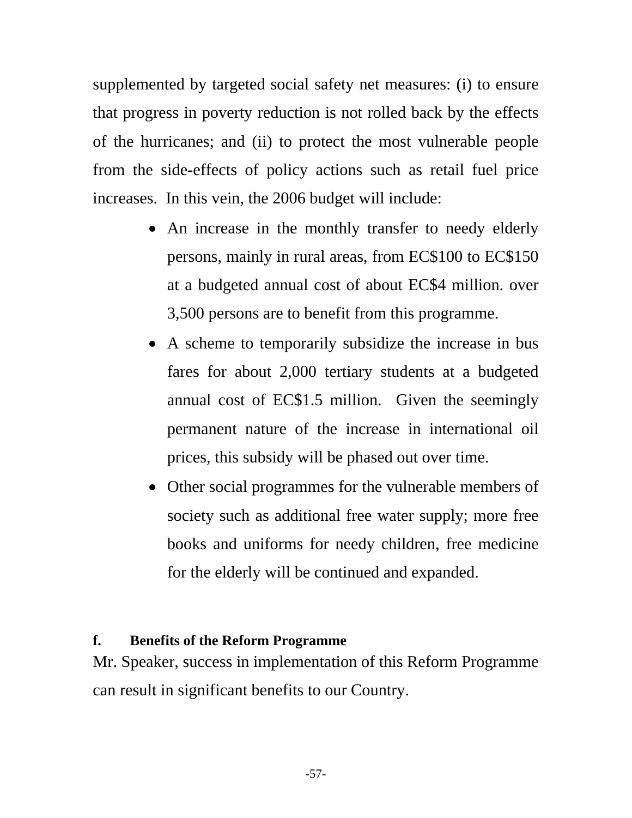supplemented by targeted social safety net measures: (i) to ensure that progress in poverty reduction is not rolled back by the effects of the hurricanes; and (ii) to protect the most vulnerable people from the side-effects of policy actions such as retail fuel price increases. In this vein, the 2006 budget will include:

- An increase in the monthly transfer to needy elderly persons, mainly in rural areas, from EC\$100 to EC\$150 at a budgeted annual cost of about EC\$4 million. over 3,500 persons are to benefit from this programme.
- A scheme to temporarily subsidize the increase in bus fares for about 2,000 tertiary students at a budgeted annual cost of EC\$1.5 million. Given the seemingly permanent nature of the increase in international oil prices, this subsidy will be phased out over time.
- Other social programmes for the vulnerable members of society such as additional free water supply; more free books and uniforms for needy children, free medicine for the elderly will be continued and expanded.

## **f. Benefits of the Reform Programme**

Mr. Speaker, success in implementation of this Reform Programme can result in significant benefits to our Country.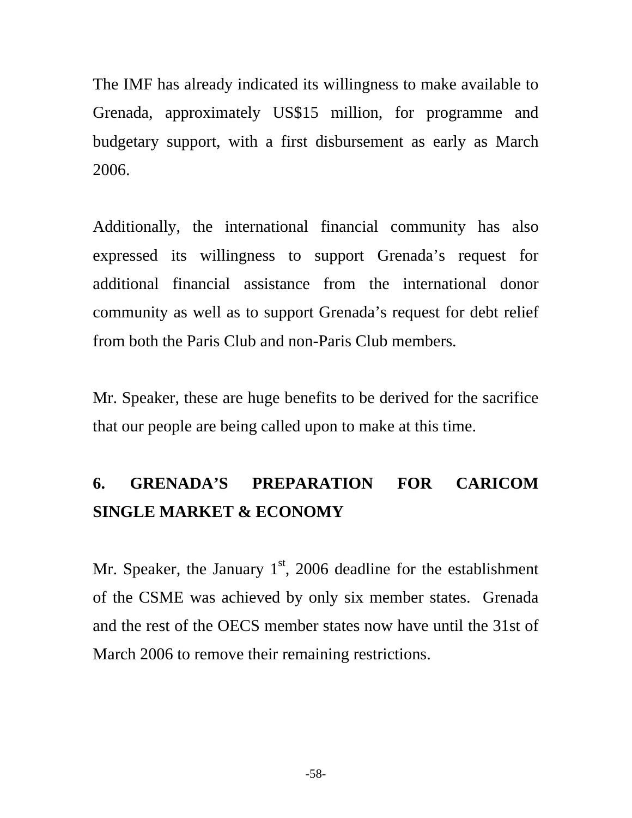The IMF has already indicated its willingness to make available to Grenada, approximately US\$15 million, for programme and budgetary support, with a first disbursement as early as March 2006.

Additionally, the international financial community has also expressed its willingness to support Grenada's request for additional financial assistance from the international donor community as well as to support Grenada's request for debt relief from both the Paris Club and non-Paris Club members.

Mr. Speaker, these are huge benefits to be derived for the sacrifice that our people are being called upon to make at this time.

# **6. GRENADA'S PREPARATION FOR CARICOM SINGLE MARKET & ECONOMY**

Mr. Speaker, the January  $1<sup>st</sup>$ , 2006 deadline for the establishment of the CSME was achieved by only six member states. Grenada and the rest of the OECS member states now have until the 31st of March 2006 to remove their remaining restrictions.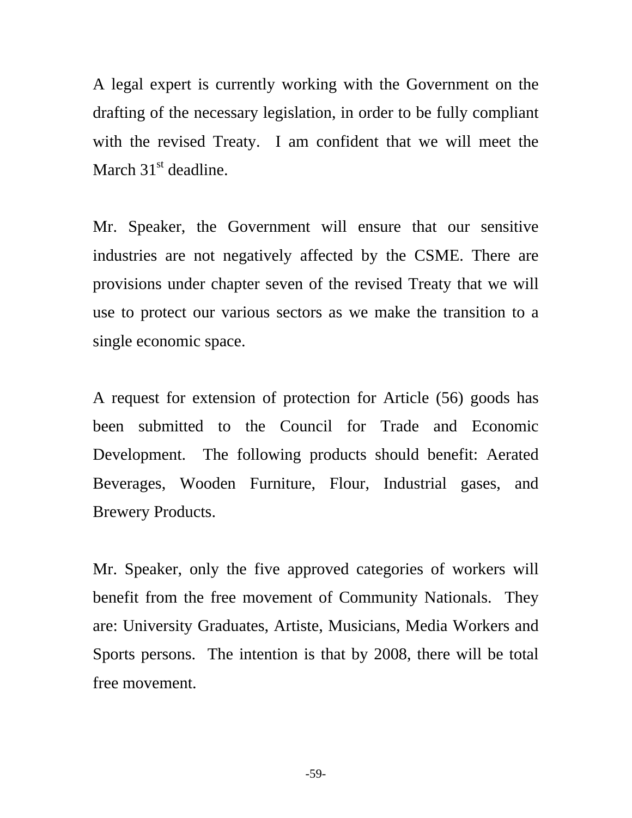A legal expert is currently working with the Government on the drafting of the necessary legislation, in order to be fully compliant with the revised Treaty. I am confident that we will meet the March 31<sup>st</sup> deadline.

Mr. Speaker, the Government will ensure that our sensitive industries are not negatively affected by the CSME. There are provisions under chapter seven of the revised Treaty that we will use to protect our various sectors as we make the transition to a single economic space.

A request for extension of protection for Article (56) goods has been submitted to the Council for Trade and Economic Development. The following products should benefit: Aerated Beverages, Wooden Furniture, Flour, Industrial gases, and Brewery Products.

Mr. Speaker, only the five approved categories of workers will benefit from the free movement of Community Nationals. They are: University Graduates, Artiste, Musicians, Media Workers and Sports persons. The intention is that by 2008, there will be total free movement.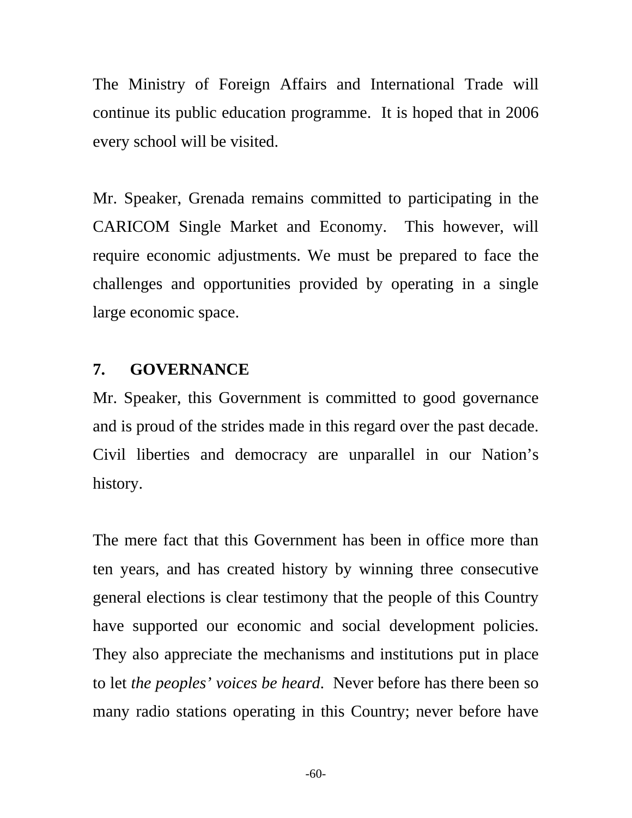The Ministry of Foreign Affairs and International Trade will continue its public education programme. It is hoped that in 2006 every school will be visited.

Mr. Speaker, Grenada remains committed to participating in the CARICOM Single Market and Economy. This however, will require economic adjustments. We must be prepared to face the challenges and opportunities provided by operating in a single large economic space.

## **7. GOVERNANCE**

Mr. Speaker, this Government is committed to good governance and is proud of the strides made in this regard over the past decade. Civil liberties and democracy are unparallel in our Nation's history.

The mere fact that this Government has been in office more than ten years, and has created history by winning three consecutive general elections is clear testimony that the people of this Country have supported our economic and social development policies. They also appreciate the mechanisms and institutions put in place to let *the peoples' voices be heard*. Never before has there been so many radio stations operating in this Country; never before have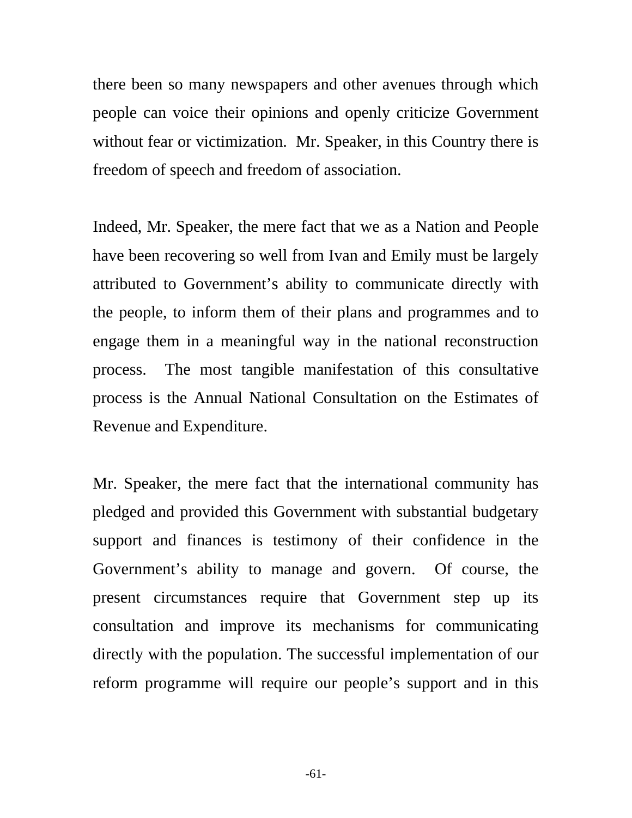there been so many newspapers and other avenues through which people can voice their opinions and openly criticize Government without fear or victimization. Mr. Speaker, in this Country there is freedom of speech and freedom of association.

Indeed, Mr. Speaker, the mere fact that we as a Nation and People have been recovering so well from Ivan and Emily must be largely attributed to Government's ability to communicate directly with the people, to inform them of their plans and programmes and to engage them in a meaningful way in the national reconstruction process. The most tangible manifestation of this consultative process is the Annual National Consultation on the Estimates of Revenue and Expenditure.

Mr. Speaker, the mere fact that the international community has pledged and provided this Government with substantial budgetary support and finances is testimony of their confidence in the Government's ability to manage and govern. Of course, the present circumstances require that Government step up its consultation and improve its mechanisms for communicating directly with the population. The successful implementation of our reform programme will require our people's support and in this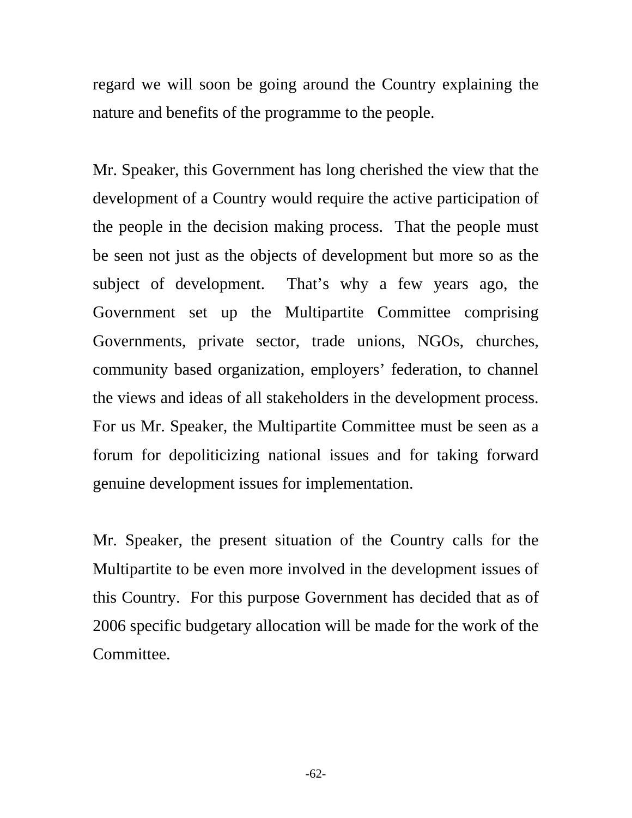regard we will soon be going around the Country explaining the nature and benefits of the programme to the people.

Mr. Speaker, this Government has long cherished the view that the development of a Country would require the active participation of the people in the decision making process. That the people must be seen not just as the objects of development but more so as the subject of development. That's why a few years ago, the Government set up the Multipartite Committee comprising Governments, private sector, trade unions, NGOs, churches, community based organization, employers' federation, to channel the views and ideas of all stakeholders in the development process. For us Mr. Speaker, the Multipartite Committee must be seen as a forum for depoliticizing national issues and for taking forward genuine development issues for implementation.

Mr. Speaker, the present situation of the Country calls for the Multipartite to be even more involved in the development issues of this Country. For this purpose Government has decided that as of 2006 specific budgetary allocation will be made for the work of the Committee.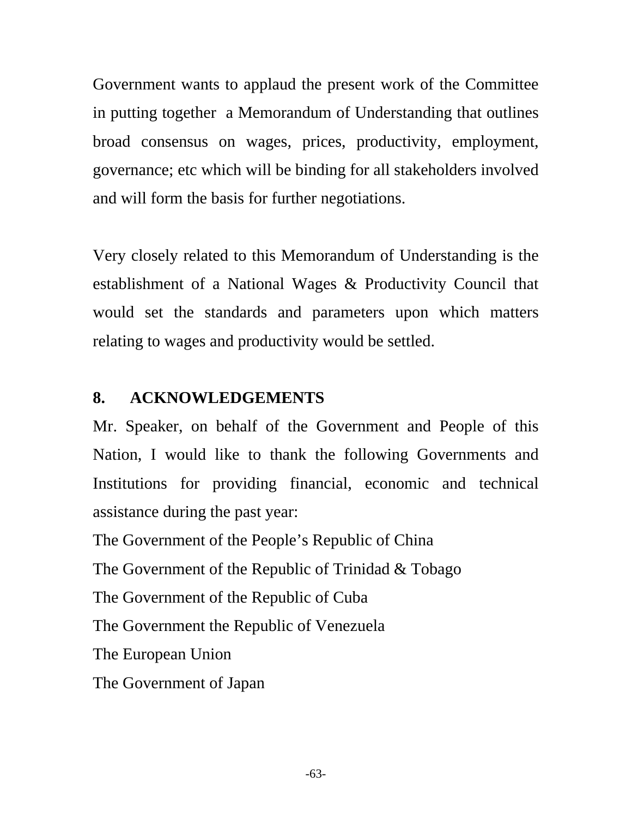Government wants to applaud the present work of the Committee in putting together a Memorandum of Understanding that outlines broad consensus on wages, prices, productivity, employment, governance; etc which will be binding for all stakeholders involved and will form the basis for further negotiations.

Very closely related to this Memorandum of Understanding is the establishment of a National Wages & Productivity Council that would set the standards and parameters upon which matters relating to wages and productivity would be settled.

## **8. ACKNOWLEDGEMENTS**

Mr. Speaker, on behalf of the Government and People of this Nation, I would like to thank the following Governments and Institutions for providing financial, economic and technical assistance during the past year:

The Government of the People's Republic of China

The Government of the Republic of Trinidad & Tobago

The Government of the Republic of Cuba

The Government the Republic of Venezuela

The European Union

The Government of Japan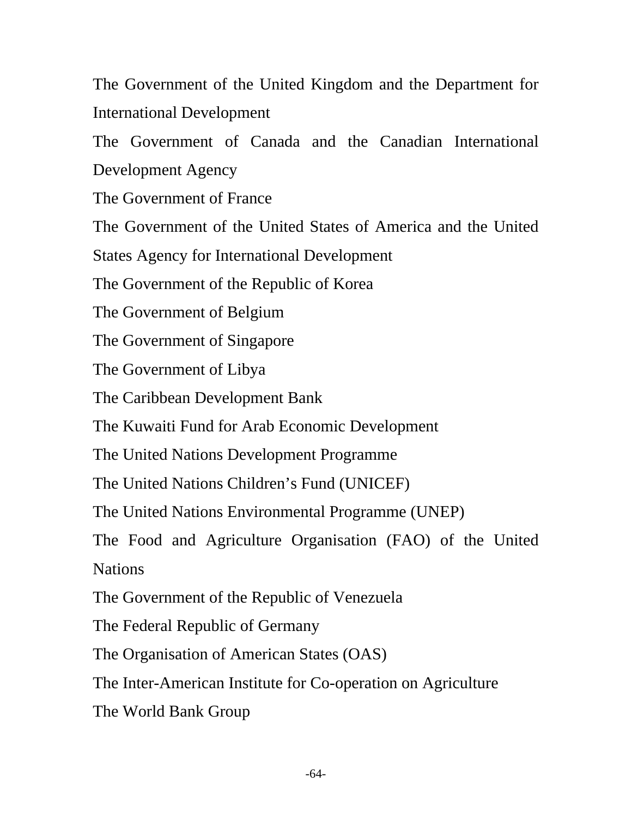The Government of the United Kingdom and the Department for International Development

The Government of Canada and the Canadian International Development Agency

The Government of France

The Government of the United States of America and the United

States Agency for International Development

The Government of the Republic of Korea

The Government of Belgium

The Government of Singapore

The Government of Libya

The Caribbean Development Bank

The Kuwaiti Fund for Arab Economic Development

The United Nations Development Programme

The United Nations Children's Fund (UNICEF)

The United Nations Environmental Programme (UNEP)

The Food and Agriculture Organisation (FAO) of the United Nations

The Government of the Republic of Venezuela

The Federal Republic of Germany

The Organisation of American States (OAS)

The Inter-American Institute for Co-operation on Agriculture

The World Bank Group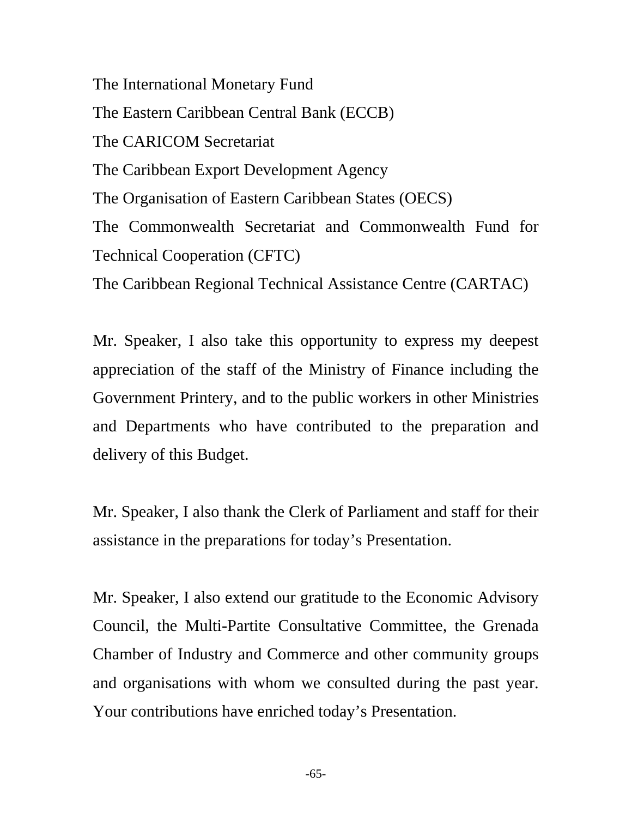The International Monetary Fund The Eastern Caribbean Central Bank (ECCB) The CARICOM Secretariat The Caribbean Export Development Agency The Organisation of Eastern Caribbean States (OECS) The Commonwealth Secretariat and Commonwealth Fund for Technical Cooperation (CFTC) The Caribbean Regional Technical Assistance Centre (CARTAC)

Mr. Speaker, I also take this opportunity to express my deepest appreciation of the staff of the Ministry of Finance including the Government Printery, and to the public workers in other Ministries and Departments who have contributed to the preparation and delivery of this Budget.

Mr. Speaker, I also thank the Clerk of Parliament and staff for their assistance in the preparations for today's Presentation.

Mr. Speaker, I also extend our gratitude to the Economic Advisory Council, the Multi-Partite Consultative Committee, the Grenada Chamber of Industry and Commerce and other community groups and organisations with whom we consulted during the past year. Your contributions have enriched today's Presentation.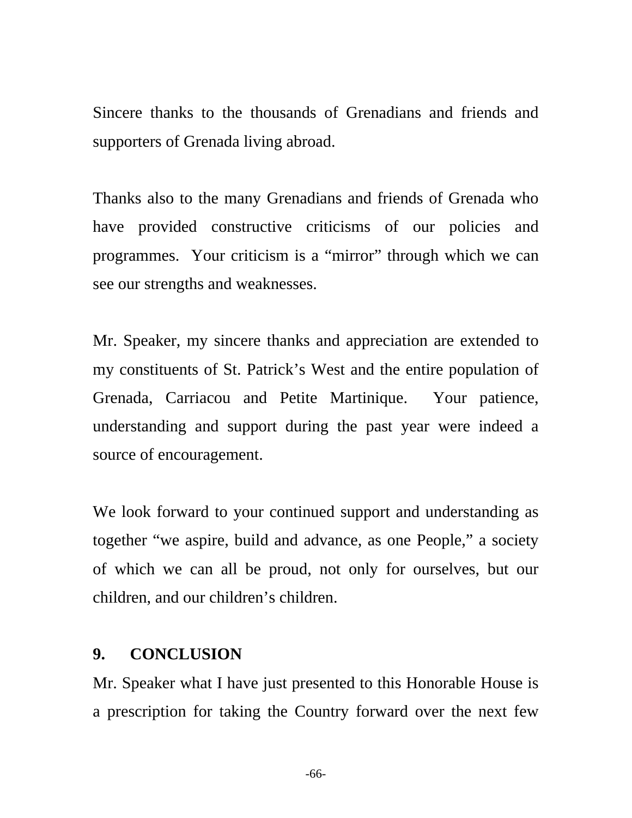Sincere thanks to the thousands of Grenadians and friends and supporters of Grenada living abroad.

Thanks also to the many Grenadians and friends of Grenada who have provided constructive criticisms of our policies and programmes. Your criticism is a "mirror" through which we can see our strengths and weaknesses.

Mr. Speaker, my sincere thanks and appreciation are extended to my constituents of St. Patrick's West and the entire population of Grenada, Carriacou and Petite Martinique. Your patience, understanding and support during the past year were indeed a source of encouragement.

We look forward to your continued support and understanding as together "we aspire, build and advance, as one People," a society of which we can all be proud, not only for ourselves, but our children, and our children's children.

## **9. CONCLUSION**

Mr. Speaker what I have just presented to this Honorable House is a prescription for taking the Country forward over the next few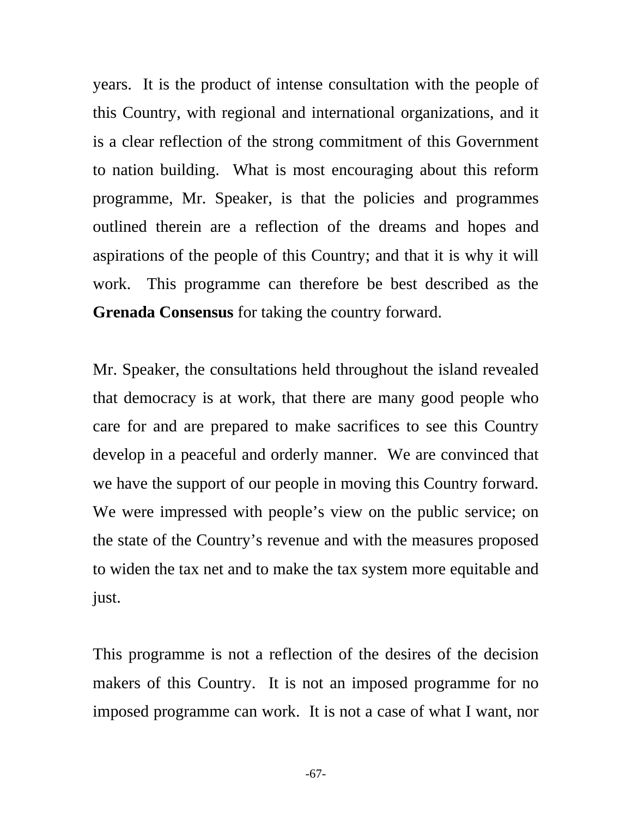years. It is the product of intense consultation with the people of this Country, with regional and international organizations, and it is a clear reflection of the strong commitment of this Government to nation building. What is most encouraging about this reform programme, Mr. Speaker, is that the policies and programmes outlined therein are a reflection of the dreams and hopes and aspirations of the people of this Country; and that it is why it will work. This programme can therefore be best described as the **Grenada Consensus** for taking the country forward.

Mr. Speaker, the consultations held throughout the island revealed that democracy is at work, that there are many good people who care for and are prepared to make sacrifices to see this Country develop in a peaceful and orderly manner. We are convinced that we have the support of our people in moving this Country forward. We were impressed with people's view on the public service; on the state of the Country's revenue and with the measures proposed to widen the tax net and to make the tax system more equitable and just.

This programme is not a reflection of the desires of the decision makers of this Country. It is not an imposed programme for no imposed programme can work. It is not a case of what I want, nor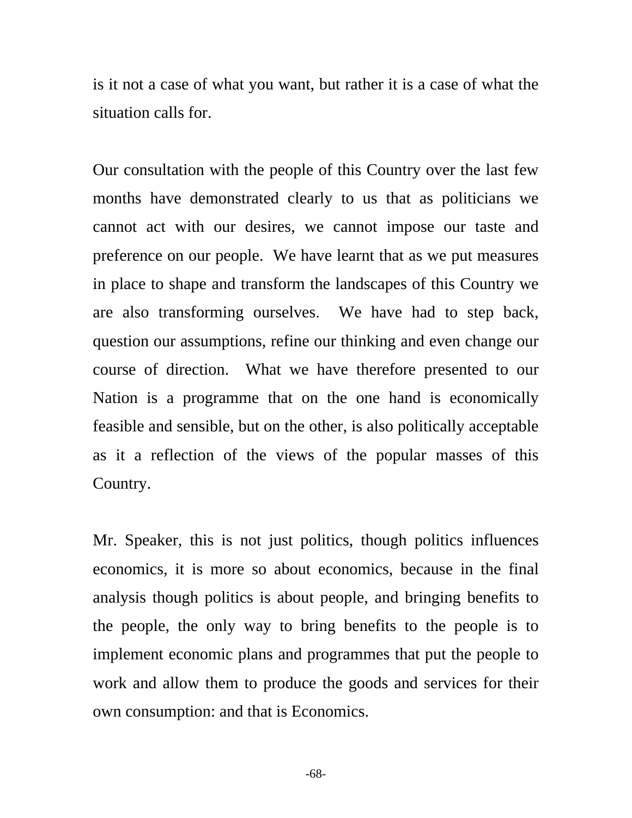is it not a case of what you want, but rather it is a case of what the situation calls for.

Our consultation with the people of this Country over the last few months have demonstrated clearly to us that as politicians we cannot act with our desires, we cannot impose our taste and preference on our people. We have learnt that as we put measures in place to shape and transform the landscapes of this Country we are also transforming ourselves. We have had to step back, question our assumptions, refine our thinking and even change our course of direction. What we have therefore presented to our Nation is a programme that on the one hand is economically feasible and sensible, but on the other, is also politically acceptable as it a reflection of the views of the popular masses of this Country.

Mr. Speaker, this is not just politics, though politics influences economics, it is more so about economics, because in the final analysis though politics is about people, and bringing benefits to the people, the only way to bring benefits to the people is to implement economic plans and programmes that put the people to work and allow them to produce the goods and services for their own consumption: and that is Economics.

-68-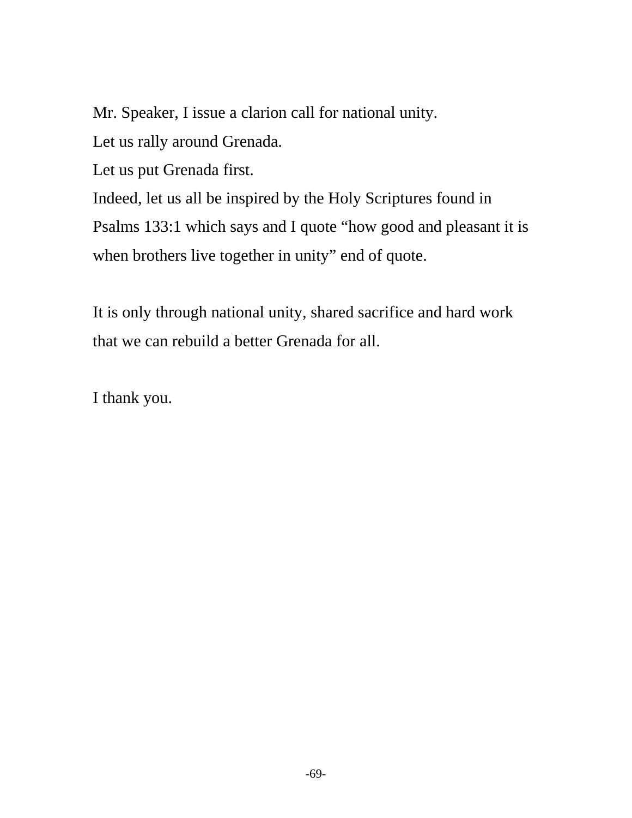Mr. Speaker, I issue a clarion call for national unity.

Let us rally around Grenada.

Let us put Grenada first.

Indeed, let us all be inspired by the Holy Scriptures found in Psalms 133:1 which says and I quote "how good and pleasant it is when brothers live together in unity" end of quote.

It is only through national unity, shared sacrifice and hard work that we can rebuild a better Grenada for all.

I thank you.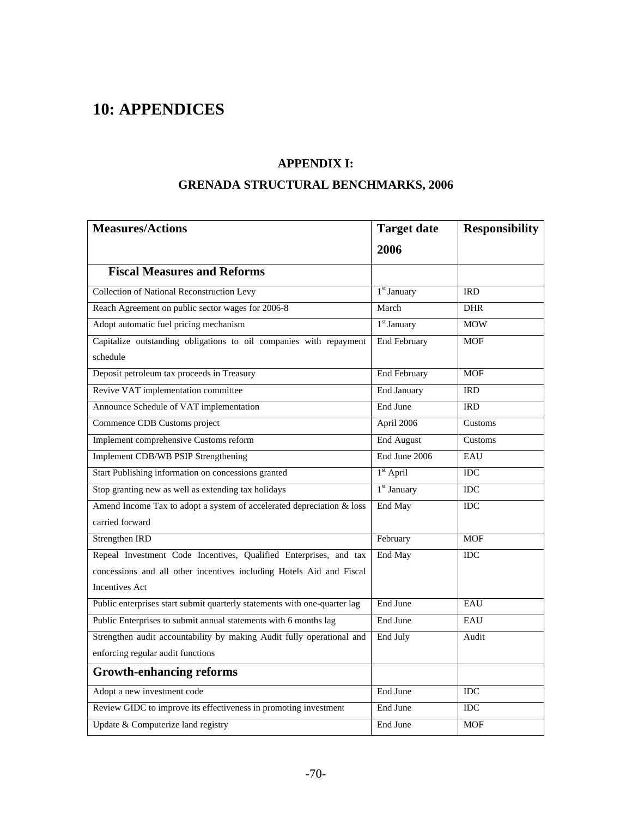# **10: APPENDICES**

#### **APPENDIX I:**

#### **GRENADA STRUCTURAL BENCHMARKS, 2006**

| <b>Measures/Actions</b>                                                   | <b>Target date</b>      | <b>Responsibility</b> |
|---------------------------------------------------------------------------|-------------------------|-----------------------|
|                                                                           | 2006                    |                       |
| <b>Fiscal Measures and Reforms</b>                                        |                         |                       |
| <b>Collection of National Reconstruction Levy</b>                         | 1 <sup>st</sup> January | <b>IRD</b>            |
| Reach Agreement on public sector wages for 2006-8                         | March                   | <b>DHR</b>            |
| Adopt automatic fuel pricing mechanism                                    | 1 <sup>st</sup> January | <b>MOW</b>            |
| Capitalize outstanding obligations to oil companies with repayment        | <b>End February</b>     | <b>MOF</b>            |
| schedule                                                                  |                         |                       |
| Deposit petroleum tax proceeds in Treasury                                | <b>End February</b>     | <b>MOF</b>            |
| Revive VAT implementation committee                                       | <b>End January</b>      | <b>IRD</b>            |
| Announce Schedule of VAT implementation                                   | End June                | <b>IRD</b>            |
| Commence CDB Customs project                                              | April 2006              | Customs               |
| Implement comprehensive Customs reform                                    | <b>End August</b>       | Customs               |
| Implement CDB/WB PSIP Strengthening                                       | End June 2006           | EAU                   |
| Start Publishing information on concessions granted                       | $1st$ April             | <b>IDC</b>            |
| Stop granting new as well as extending tax holidays                       | 1 <sup>st</sup> January | <b>IDC</b>            |
| Amend Income Tax to adopt a system of accelerated depreciation & loss     | End May                 | <b>IDC</b>            |
| carried forward                                                           |                         |                       |
| Strengthen IRD                                                            | February                | <b>MOF</b>            |
| Repeal Investment Code Incentives, Qualified Enterprises, and tax         | End May                 | <b>IDC</b>            |
| concessions and all other incentives including Hotels Aid and Fiscal      |                         |                       |
| <b>Incentives Act</b>                                                     |                         |                       |
| Public enterprises start submit quarterly statements with one-quarter lag | End June                | EAU                   |
| Public Enterprises to submit annual statements with 6 months lag          | End June                | EAU                   |
| Strengthen audit accountability by making Audit fully operational and     | End July                | Audit                 |
| enforcing regular audit functions                                         |                         |                       |
| <b>Growth-enhancing reforms</b>                                           |                         |                       |
| Adopt a new investment code                                               | End June                | <b>IDC</b>            |
| Review GIDC to improve its effectiveness in promoting investment          | End June                | <b>IDC</b>            |
| Update & Computerize land registry                                        | End June                | <b>MOF</b>            |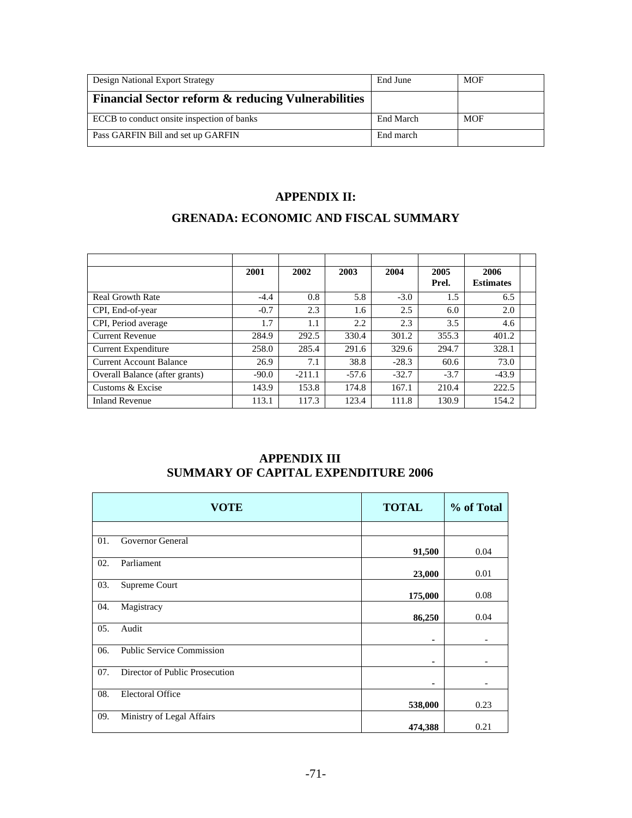| Design National Export Strategy                               | End June  | MOF        |
|---------------------------------------------------------------|-----------|------------|
| <b>Financial Sector reform &amp; reducing Vulnerabilities</b> |           |            |
| ECCB to conduct onsite inspection of banks                    | End March | <b>MOF</b> |
| Pass GARFIN Bill and set up GARFIN                            | End march |            |

#### **APPENDIX II:**

## **GRENADA: ECONOMIC AND FISCAL SUMMARY**

|                                | 2001    | 2002     | 2003    | 2004    | 2005<br>Prel. | 2006<br><b>Estimates</b> |  |
|--------------------------------|---------|----------|---------|---------|---------------|--------------------------|--|
| <b>Real Growth Rate</b>        | $-4.4$  | 0.8      | 5.8     | $-3.0$  | 1.5           | 6.5                      |  |
| CPI, End-of-year               | $-0.7$  | 2.3      | 1.6     | 2.5     | 6.0           | 2.0                      |  |
| CPI, Period average            | 1.7     | 1.1      | 2.2     | 2.3     | 3.5           | 4.6                      |  |
| <b>Current Revenue</b>         | 284.9   | 292.5    | 330.4   | 301.2   | 355.3         | 401.2                    |  |
| <b>Current Expenditure</b>     | 258.0   | 285.4    | 291.6   | 329.6   | 294.7         | 328.1                    |  |
| <b>Current Account Balance</b> | 26.9    | 7.1      | 38.8    | $-28.3$ | 60.6          | 73.0                     |  |
| Overall Balance (after grants) | $-90.0$ | $-211.1$ | $-57.6$ | $-32.7$ | $-3.7$        | $-43.9$                  |  |
| Customs & Excise               | 143.9   | 153.8    | 174.8   | 167.1   | 210.4         | 222.5                    |  |
| <b>Inland Revenue</b>          | 113.1   | 117.3    | 123.4   | 111.8   | 130.9         | 154.2                    |  |

#### **APPENDIX III SUMMARY OF CAPITAL EXPENDITURE 2006**

|     | <b>VOTE</b>                      | <b>TOTAL</b> | % of Total |
|-----|----------------------------------|--------------|------------|
|     |                                  |              |            |
| 01. | Governor General                 | 91,500       | 0.04       |
| 02. | Parliament                       | 23,000       | 0.01       |
| 03. | Supreme Court                    | 175,000      | 0.08       |
| 04. | Magistracy                       | 86,250       | 0.04       |
| 05. | Audit                            | ۰            |            |
| 06. | <b>Public Service Commission</b> | ۰            |            |
| 07. | Director of Public Prosecution   | ۰            |            |
| 08. | <b>Electoral Office</b>          | 538,000      | 0.23       |
| 09. | Ministry of Legal Affairs        | 474,388      | 0.21       |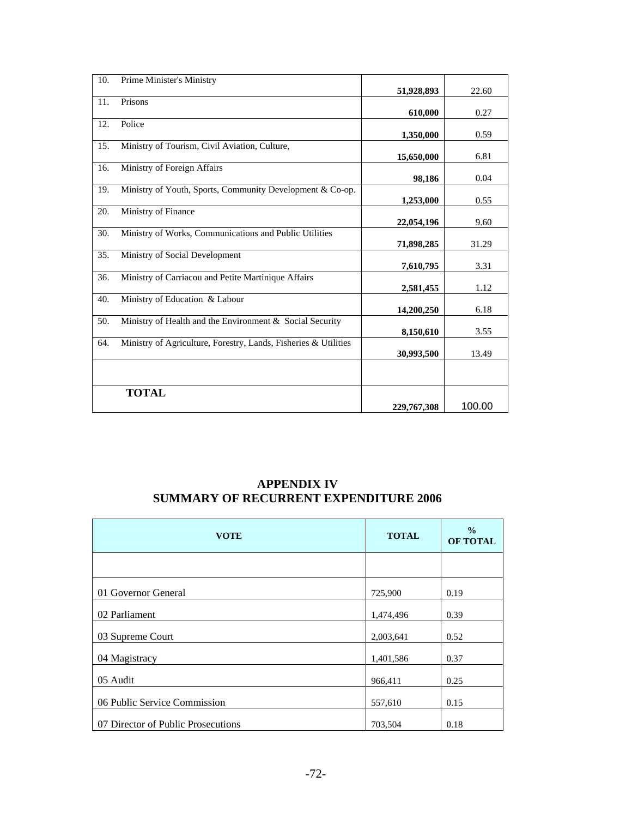| 10. | Prime Minister's Ministry                                       |             |        |
|-----|-----------------------------------------------------------------|-------------|--------|
|     |                                                                 | 51,928,893  | 22.60  |
| 11. | Prisons                                                         |             |        |
|     |                                                                 | 610,000     | 0.27   |
| 12. | Police                                                          |             |        |
|     |                                                                 | 1,350,000   | 0.59   |
| 15. | Ministry of Tourism, Civil Aviation, Culture,                   |             |        |
|     |                                                                 | 15,650,000  | 6.81   |
| 16. | Ministry of Foreign Affairs                                     |             |        |
|     |                                                                 | 98,186      | 0.04   |
| 19. | Ministry of Youth, Sports, Community Development & Co-op.       |             |        |
|     |                                                                 | 1,253,000   | 0.55   |
| 20. | Ministry of Finance                                             |             |        |
|     |                                                                 | 22,054,196  | 9.60   |
| 30. | Ministry of Works, Communications and Public Utilities          |             |        |
|     |                                                                 | 71,898,285  | 31.29  |
| 35. | Ministry of Social Development                                  |             |        |
|     |                                                                 | 7,610,795   | 3.31   |
| 36. | Ministry of Carriacou and Petite Martinique Affairs             |             |        |
|     |                                                                 | 2,581,455   | 1.12   |
| 40. | Ministry of Education & Labour                                  |             |        |
|     |                                                                 | 14,200,250  | 6.18   |
| 50. | Ministry of Health and the Environment & Social Security        |             |        |
|     |                                                                 | 8,150,610   | 3.55   |
| 64. | Ministry of Agriculture, Forestry, Lands, Fisheries & Utilities |             |        |
|     |                                                                 | 30,993,500  | 13.49  |
|     |                                                                 |             |        |
|     |                                                                 |             |        |
|     | <b>TOTAL</b>                                                    |             |        |
|     |                                                                 | 229,767,308 | 100.00 |

#### **APPENDIX IV SUMMARY OF RECURRENT EXPENDITURE 2006**

| <b>VOTE</b>                        | <b>TOTAL</b> | $\frac{0}{0}$<br>OF TOTAL |
|------------------------------------|--------------|---------------------------|
|                                    |              |                           |
| 01 Governor General                | 725,900      | 0.19                      |
| 02 Parliament                      | 1,474,496    | 0.39                      |
| 03 Supreme Court                   | 2,003,641    | 0.52                      |
| 04 Magistracy                      | 1,401,586    | 0.37                      |
| 05 Audit                           | 966,411      | 0.25                      |
| 06 Public Service Commission       | 557,610      | 0.15                      |
| 07 Director of Public Prosecutions | 703,504      | 0.18                      |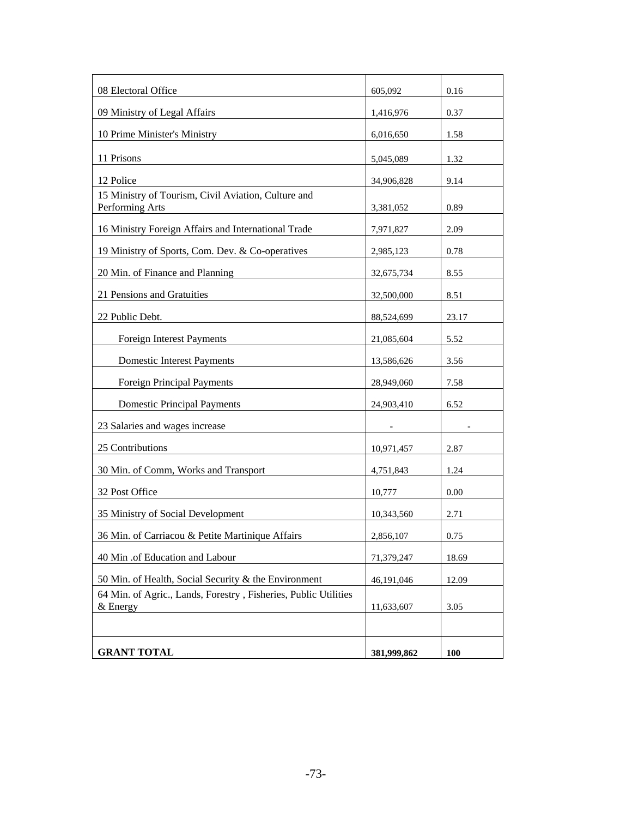| 08 Electoral Office                                                         | 605,092     | 0.16  |
|-----------------------------------------------------------------------------|-------------|-------|
| 09 Ministry of Legal Affairs                                                | 1,416,976   | 0.37  |
| 10 Prime Minister's Ministry                                                | 6,016,650   | 1.58  |
| 11 Prisons                                                                  | 5,045,089   | 1.32  |
| 12 Police                                                                   | 34,906,828  | 9.14  |
| 15 Ministry of Tourism, Civil Aviation, Culture and<br>Performing Arts      | 3,381,052   | 0.89  |
| 16 Ministry Foreign Affairs and International Trade                         | 7,971,827   | 2.09  |
| 19 Ministry of Sports, Com. Dev. & Co-operatives                            | 2,985,123   | 0.78  |
| 20 Min. of Finance and Planning                                             | 32,675,734  | 8.55  |
| 21 Pensions and Gratuities                                                  | 32,500,000  | 8.51  |
| 22 Public Debt.                                                             | 88,524,699  | 23.17 |
| <b>Foreign Interest Payments</b>                                            | 21,085,604  | 5.52  |
| <b>Domestic Interest Payments</b>                                           | 13,586,626  | 3.56  |
| <b>Foreign Principal Payments</b>                                           | 28,949,060  | 7.58  |
| <b>Domestic Principal Payments</b>                                          | 24,903,410  | 6.52  |
| 23 Salaries and wages increase                                              |             |       |
| 25 Contributions                                                            | 10,971,457  | 2.87  |
| 30 Min. of Comm, Works and Transport                                        | 4,751,843   | 1.24  |
| 32 Post Office                                                              | 10,777      | 0.00  |
| 35 Ministry of Social Development                                           | 10,343,560  | 2.71  |
| 36 Min. of Carriacou & Petite Martinique Affairs                            | 2,856,107   | 0.75  |
| 40 Min .of Education and Labour                                             | 71,379,247  | 18.69 |
| 50 Min. of Health, Social Security & the Environment                        | 46,191,046  | 12.09 |
| 64 Min. of Agric., Lands, Forestry, Fisheries, Public Utilities<br>& Energy | 11,633,607  | 3.05  |
|                                                                             |             |       |
| <b>GRANT TOTAL</b>                                                          | 381,999,862 | 100   |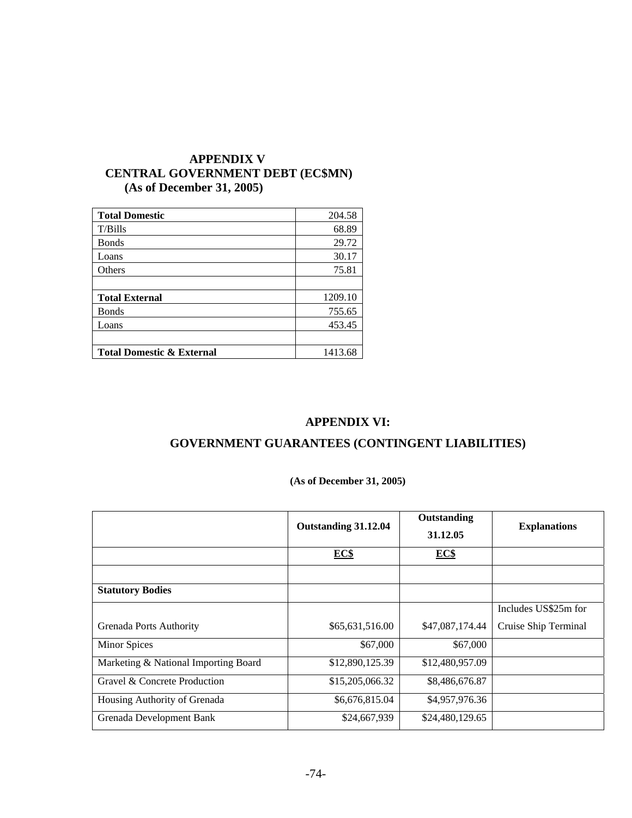## **APPENDIX V CENTRAL GOVERNMENT DEBT (EC\$MN) (As of December 31, 2005)**

| <b>Total Domestic</b>                | 204.58  |
|--------------------------------------|---------|
| $T/B$ ills                           | 68.89   |
| <b>B</b> onds                        | 29.72   |
| Loans                                | 30.17   |
| Others                               | 75.81   |
|                                      |         |
| <b>Total External</b>                | 1209.10 |
| <b>Bonds</b>                         | 755.65  |
| Loans                                | 453.45  |
|                                      |         |
| <b>Total Domestic &amp; External</b> | 1413.68 |

## **APPENDIX VI:**

## **GOVERNMENT GUARANTEES (CONTINGENT LIABILITIES)**

## **(As of December 31, 2005)**

|                                      | Outstanding 31.12.04 | Outstanding     | <b>Explanations</b>  |
|--------------------------------------|----------------------|-----------------|----------------------|
|                                      |                      | 31.12.05        |                      |
|                                      | EC\$                 | EC\$            |                      |
|                                      |                      |                 |                      |
| <b>Statutory Bodies</b>              |                      |                 |                      |
|                                      |                      |                 | Includes US\$25m for |
| <b>Grenada Ports Authority</b>       | \$65,631,516.00      | \$47,087,174.44 | Cruise Ship Terminal |
| <b>Minor Spices</b>                  | \$67,000             | \$67,000        |                      |
| Marketing & National Importing Board | \$12,890,125.39      | \$12,480,957.09 |                      |
| Gravel & Concrete Production         | \$15,205,066.32      | \$8,486,676.87  |                      |
| Housing Authority of Grenada         | \$6,676,815.04       | \$4,957,976.36  |                      |
| Grenada Development Bank             | \$24,667,939         | \$24,480,129.65 |                      |